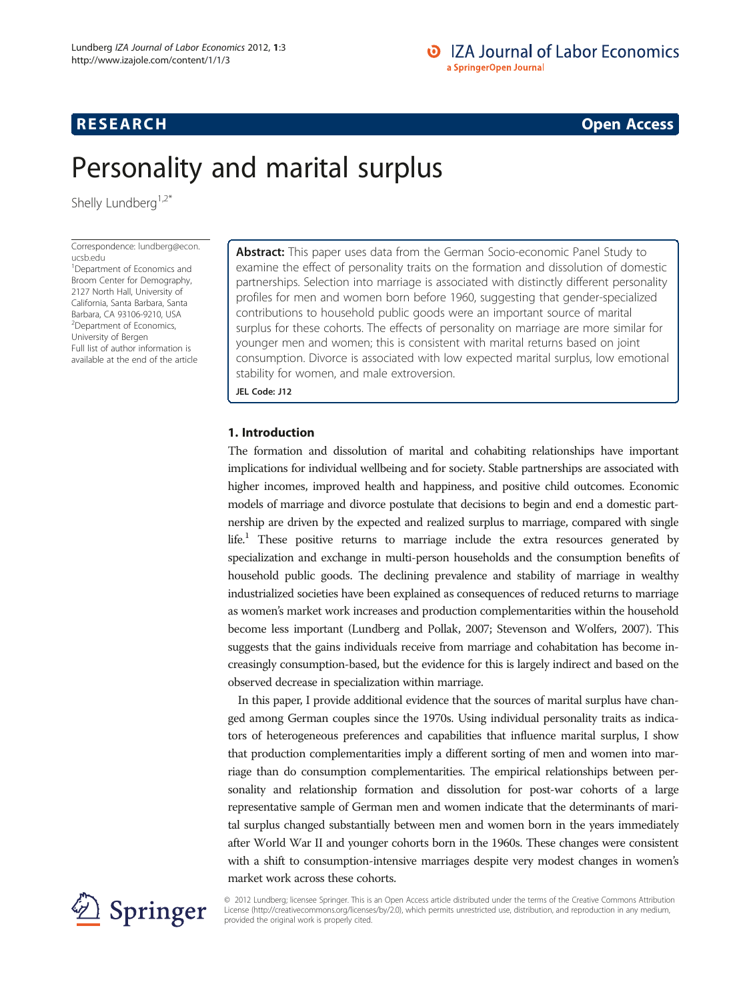# **RESEARCH RESEARCH CONSUMING ACCESS**

# Personality and marital surplus

Shelly Lundberg<sup>1,2\*</sup>

Correspondence: [lundberg@econ.](mailto:lundberg@econ.ucsb.edu) [ucsb.edu](mailto:lundberg@econ.ucsb.edu)

<sup>1</sup> Department of Economics and Broom Center for Demography, 2127 North Hall, University of California, Santa Barbara, Santa Barbara, CA 93106-9210, USA <sup>2</sup>Department of Economics, University of Bergen Full list of author information is available at the end of the article Abstract: This paper uses data from the German Socio-economic Panel Study to examine the effect of personality traits on the formation and dissolution of domestic partnerships. Selection into marriage is associated with distinctly different personality profiles for men and women born before 1960, suggesting that gender-specialized contributions to household public goods were an important source of marital surplus for these cohorts. The effects of personality on marriage are more similar for younger men and women; this is consistent with marital returns based on joint consumption. Divorce is associated with low expected marital surplus, low emotional stability for women, and male extroversion.

JEL Code: J12

# 1. Introduction

The formation and dissolution of marital and cohabiting relationships have important implications for individual wellbeing and for society. Stable partnerships are associated with higher incomes, improved health and happiness, and positive child outcomes. Economic models of marriage and divorce postulate that decisions to begin and end a domestic partnership are driven by the expected and realized surplus to marriage, compared with single life.<sup>1</sup> These positive returns to marriage include the extra resources generated by specialization and exchange in multi-person households and the consumption benefits of household public goods. The declining prevalence and stability of marriage in wealthy industrialized societies have been explained as consequences of reduced returns to marriage as women's market work increases and production complementarities within the household become less important [\(Lundberg and Pollak, 2007](#page-19-0); [Stevenson and Wolfers, 2007](#page-20-0)). This suggests that the gains individuals receive from marriage and cohabitation has become increasingly consumption-based, but the evidence for this is largely indirect and based on the observed decrease in specialization within marriage.

In this paper, I provide additional evidence that the sources of marital surplus have changed among German couples since the 1970s. Using individual personality traits as indicators of heterogeneous preferences and capabilities that influence marital surplus, I show that production complementarities imply a different sorting of men and women into marriage than do consumption complementarities. The empirical relationships between personality and relationship formation and dissolution for post-war cohorts of a large representative sample of German men and women indicate that the determinants of marital surplus changed substantially between men and women born in the years immediately after World War II and younger cohorts born in the 1960s. These changes were consistent with a shift to consumption-intensive marriages despite very modest changes in women's market work across these cohorts.



© 2012 Lundberg; licensee Springer. This is an Open Access article distributed under the terms of the Creative Commons Attribution License [\(http://creativecommons.org/licenses/by/2.0\)](http://creativecommons.org/licenses/by/2.0), which permits unrestricted use, distribution, and reproduction in any medium, provided the original work is properly cited.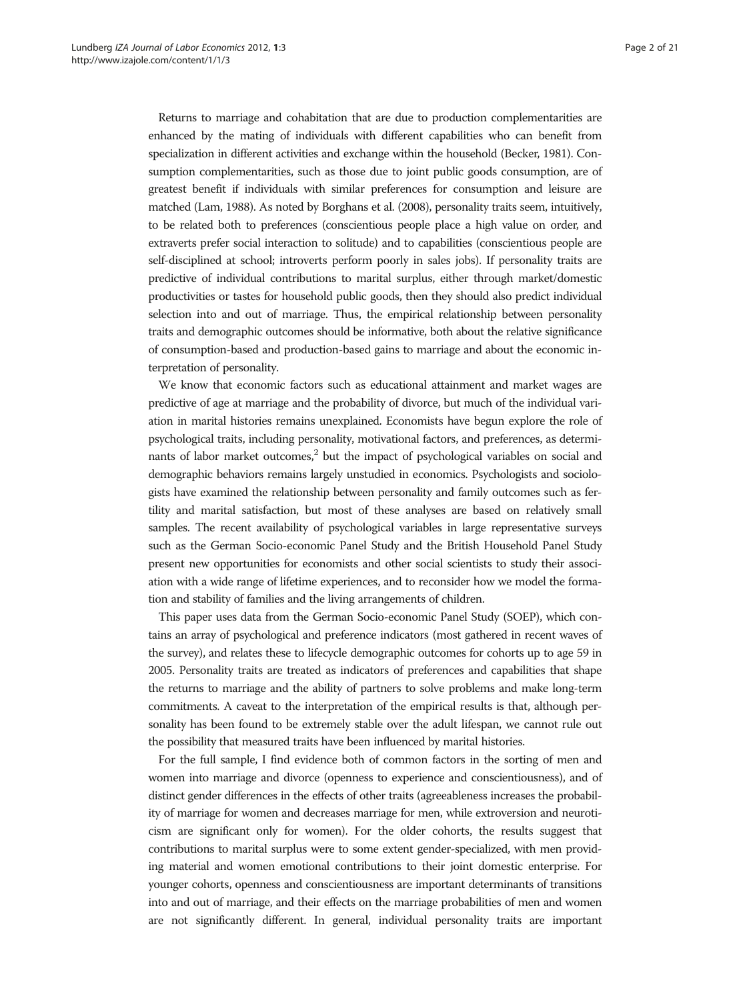Returns to marriage and cohabitation that are due to production complementarities are enhanced by the mating of individuals with different capabilities who can benefit from specialization in different activities and exchange within the household (Becker, [1981\)](#page-18-0). Consumption complementarities, such as those due to joint public goods consumption, are of greatest benefit if individuals with similar preferences for consumption and leisure are matched [\(Lam, 1988](#page-19-0)). As noted by [Borghans et al. \(2008](#page-19-0)), personality traits seem, intuitively, to be related both to preferences (conscientious people place a high value on order, and extraverts prefer social interaction to solitude) and to capabilities (conscientious people are self-disciplined at school; introverts perform poorly in sales jobs). If personality traits are predictive of individual contributions to marital surplus, either through market/domestic productivities or tastes for household public goods, then they should also predict individual selection into and out of marriage. Thus, the empirical relationship between personality traits and demographic outcomes should be informative, both about the relative significance of consumption-based and production-based gains to marriage and about the economic interpretation of personality.

We know that economic factors such as educational attainment and market wages are predictive of age at marriage and the probability of divorce, but much of the individual variation in marital histories remains unexplained. Economists have begun explore the role of psychological traits, including personality, motivational factors, and preferences, as determinants of labor market outcomes, $\frac{2}{3}$  but the impact of psychological variables on social and demographic behaviors remains largely unstudied in economics. Psychologists and sociologists have examined the relationship between personality and family outcomes such as fertility and marital satisfaction, but most of these analyses are based on relatively small samples. The recent availability of psychological variables in large representative surveys such as the German Socio-economic Panel Study and the British Household Panel Study present new opportunities for economists and other social scientists to study their association with a wide range of lifetime experiences, and to reconsider how we model the formation and stability of families and the living arrangements of children.

This paper uses data from the German Socio-economic Panel Study (SOEP), which contains an array of psychological and preference indicators (most gathered in recent waves of the survey), and relates these to lifecycle demographic outcomes for cohorts up to age 59 in 2005. Personality traits are treated as indicators of preferences and capabilities that shape the returns to marriage and the ability of partners to solve problems and make long-term commitments. A caveat to the interpretation of the empirical results is that, although personality has been found to be extremely stable over the adult lifespan, we cannot rule out the possibility that measured traits have been influenced by marital histories.

For the full sample, I find evidence both of common factors in the sorting of men and women into marriage and divorce (openness to experience and conscientiousness), and of distinct gender differences in the effects of other traits (agreeableness increases the probability of marriage for women and decreases marriage for men, while extroversion and neuroticism are significant only for women). For the older cohorts, the results suggest that contributions to marital surplus were to some extent gender-specialized, with men providing material and women emotional contributions to their joint domestic enterprise. For younger cohorts, openness and conscientiousness are important determinants of transitions into and out of marriage, and their effects on the marriage probabilities of men and women are not significantly different. In general, individual personality traits are important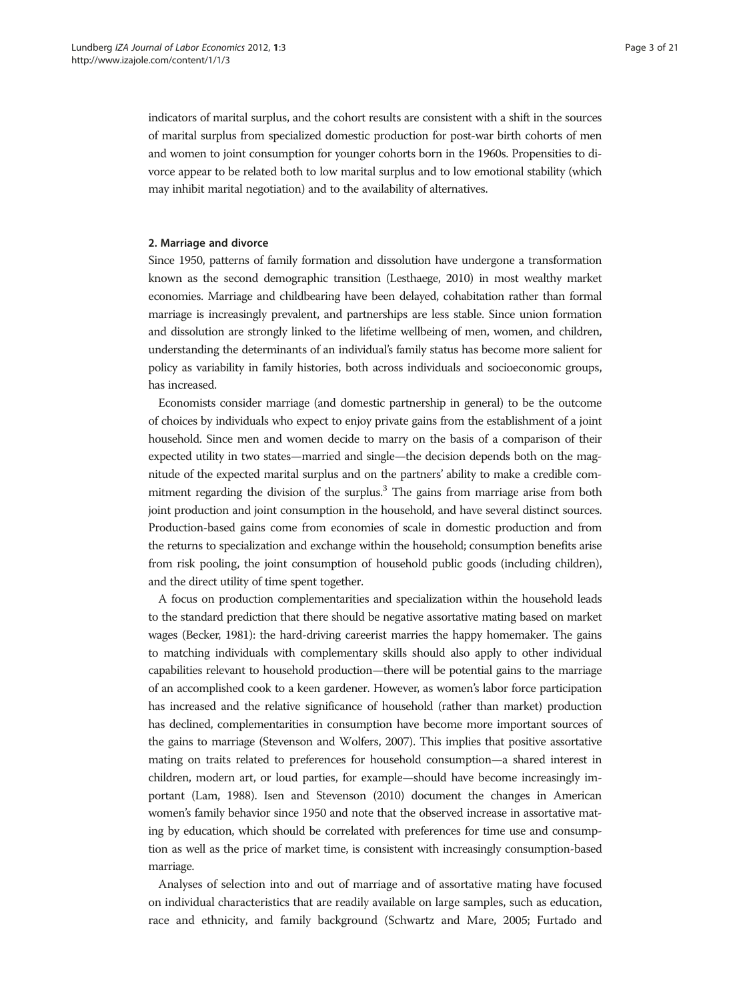indicators of marital surplus, and the cohort results are consistent with a shift in the sources of marital surplus from specialized domestic production for post-war birth cohorts of men and women to joint consumption for younger cohorts born in the 1960s. Propensities to divorce appear to be related both to low marital surplus and to low emotional stability (which may inhibit marital negotiation) and to the availability of alternatives.

#### 2. Marriage and divorce

Since 1950, patterns of family formation and dissolution have undergone a transformation known as the second demographic transition [\(Lesthaege, 2010\)](#page-19-0) in most wealthy market economies. Marriage and childbearing have been delayed, cohabitation rather than formal marriage is increasingly prevalent, and partnerships are less stable. Since union formation and dissolution are strongly linked to the lifetime wellbeing of men, women, and children, understanding the determinants of an individual's family status has become more salient for policy as variability in family histories, both across individuals and socioeconomic groups, has increased.

Economists consider marriage (and domestic partnership in general) to be the outcome of choices by individuals who expect to enjoy private gains from the establishment of a joint household. Since men and women decide to marry on the basis of a comparison of their expected utility in two states—married and single—the decision depends both on the magnitude of the expected marital surplus and on the partners' ability to make a credible commitment regarding the division of the surplus. $3$  The gains from marriage arise from both joint production and joint consumption in the household, and have several distinct sources. Production-based gains come from economies of scale in domestic production and from the returns to specialization and exchange within the household; consumption benefits arise from risk pooling, the joint consumption of household public goods (including children), and the direct utility of time spent together.

A focus on production complementarities and specialization within the household leads to the standard prediction that there should be negative assortative mating based on market wages [\(Becker, 1981\)](#page-18-0): the hard-driving careerist marries the happy homemaker. The gains to matching individuals with complementary skills should also apply to other individual capabilities relevant to household production—there will be potential gains to the marriage of an accomplished cook to a keen gardener. However, as women's labor force participation has increased and the relative significance of household (rather than market) production has declined, complementarities in consumption have become more important sources of the gains to marriage ([Stevenson and Wolfers, 2007\)](#page-20-0). This implies that positive assortative mating on traits related to preferences for household consumption—a shared interest in children, modern art, or loud parties, for example—should have become increasingly important [\(Lam, 1988\)](#page-19-0). [Isen and Stevenson \(2010\)](#page-19-0) document the changes in American women's family behavior since 1950 and note that the observed increase in assortative mating by education, which should be correlated with preferences for time use and consumption as well as the price of market time, is consistent with increasingly consumption-based marriage.

Analyses of selection into and out of marriage and of assortative mating have focused on individual characteristics that are readily available on large samples, such as education, race and ethnicity, and family background [\(Schwartz and Mare, 2005](#page-20-0); [Furtado and](#page-19-0)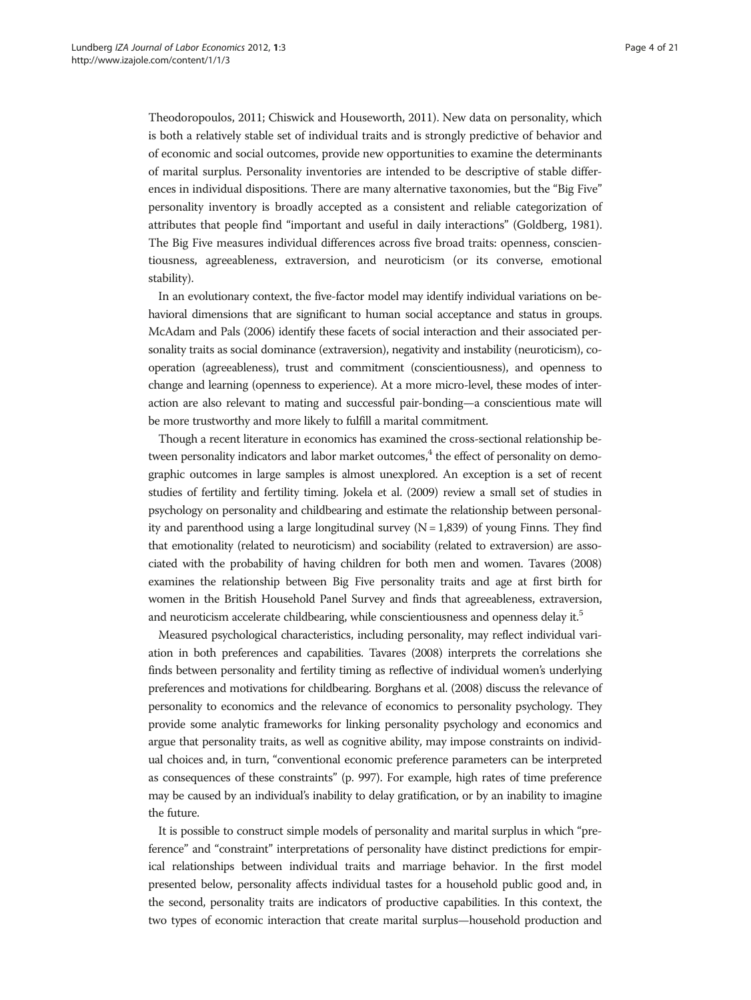[Theodoropoulos, 2011](#page-19-0); [Chiswick and Houseworth, 2011](#page-19-0)). New data on personality, which is both a relatively stable set of individual traits and is strongly predictive of behavior and of economic and social outcomes, provide new opportunities to examine the determinants of marital surplus. Personality inventories are intended to be descriptive of stable differences in individual dispositions. There are many alternative taxonomies, but the "Big Five" personality inventory is broadly accepted as a consistent and reliable categorization of attributes that people find "important and useful in daily interactions" [\(Goldberg, 1981](#page-19-0)). The Big Five measures individual differences across five broad traits: openness, conscientiousness, agreeableness, extraversion, and neuroticism (or its converse, emotional stability).

In an evolutionary context, the five-factor model may identify individual variations on behavioral dimensions that are significant to human social acceptance and status in groups. [McAdam and Pals \(2006](#page-19-0)) identify these facets of social interaction and their associated personality traits as social dominance (extraversion), negativity and instability (neuroticism), cooperation (agreeableness), trust and commitment (conscientiousness), and openness to change and learning (openness to experience). At a more micro-level, these modes of interaction are also relevant to mating and successful pair-bonding—a conscientious mate will be more trustworthy and more likely to fulfill a marital commitment.

Though a recent literature in economics has examined the cross-sectional relationship between personality indicators and labor market outcomes,<sup>4</sup> the effect of personality on demographic outcomes in large samples is almost unexplored. An exception is a set of recent studies of fertility and fertility timing. Jokela et al. ([2009\)](#page-19-0) review a small set of studies in psychology on personality and childbearing and estimate the relationship between personality and parenthood using a large longitudinal survey  $(N = 1,839)$  of young Finns. They find that emotionality (related to neuroticism) and sociability (related to extraversion) are associated with the probability of having children for both men and women. [Tavares \(2008\)](#page-20-0) examines the relationship between Big Five personality traits and age at first birth for women in the British Household Panel Survey and finds that agreeableness, extraversion, and neuroticism accelerate childbearing, while conscientiousness and openness delay it.<sup>5</sup>

Measured psychological characteristics, including personality, may reflect individual variation in both preferences and capabilities. [Tavares \(2008\)](#page-20-0) interprets the correlations she finds between personality and fertility timing as reflective of individual women's underlying preferences and motivations for childbearing. Borghans et al. ([2008\)](#page-19-0) discuss the relevance of personality to economics and the relevance of economics to personality psychology. They provide some analytic frameworks for linking personality psychology and economics and argue that personality traits, as well as cognitive ability, may impose constraints on individual choices and, in turn, "conventional economic preference parameters can be interpreted as consequences of these constraints" (p. 997). For example, high rates of time preference may be caused by an individual's inability to delay gratification, or by an inability to imagine the future.

It is possible to construct simple models of personality and marital surplus in which "preference" and "constraint" interpretations of personality have distinct predictions for empirical relationships between individual traits and marriage behavior. In the first model presented below, personality affects individual tastes for a household public good and, in the second, personality traits are indicators of productive capabilities. In this context, the two types of economic interaction that create marital surplus—household production and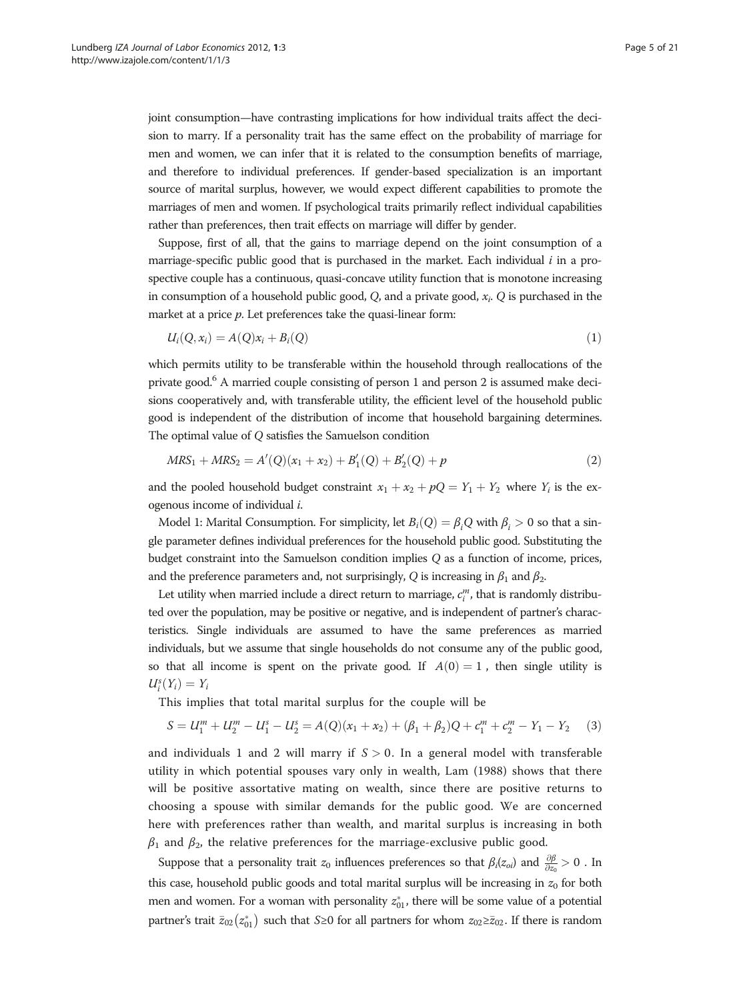joint consumption—have contrasting implications for how individual traits affect the decision to marry. If a personality trait has the same effect on the probability of marriage for men and women, we can infer that it is related to the consumption benefits of marriage, and therefore to individual preferences. If gender-based specialization is an important source of marital surplus, however, we would expect different capabilities to promote the marriages of men and women. If psychological traits primarily reflect individual capabilities rather than preferences, then trait effects on marriage will differ by gender.

Suppose, first of all, that the gains to marriage depend on the joint consumption of a marriage-specific public good that is purchased in the market. Each individual  $i$  in a prospective couple has a continuous, quasi-concave utility function that is monotone increasing in consumption of a household public good, Q, and a private good,  $x_i$ . Q is purchased in the market at a price  $p$ . Let preferences take the quasi-linear form:

$$
U_i(Q, x_i) = A(Q)x_i + B_i(Q)
$$
\n<sup>(1)</sup>

which permits utility to be transferable within the household through reallocations of the private good.<sup>6</sup> A married couple consisting of person 1 and person 2 is assumed make decisions cooperatively and, with transferable utility, the efficient level of the household public good is independent of the distribution of income that household bargaining determines. The optimal value of Q satisfies the Samuelson condition

$$
MRS_1 + MRS_2 = A'(Q)(x_1 + x_2) + B'_1(Q) + B'_2(Q) + p \tag{2}
$$

and the pooled household budget constraint  $x_1 + x_2 + pQ = Y_1 + Y_2$  where  $Y_i$  is the exogenous income of individual i.

Model 1: Marital Consumption. For simplicity, let  $B_i(Q) = \beta_i Q$  with  $\beta_i > 0$  so that a single parameter defines individual preferences for the household public good. Substituting the budget constraint into the Samuelson condition implies Q as a function of income, prices, and the preference parameters and, not surprisingly, Q is increasing in  $\beta_1$  and  $\beta_2$ .

Let utility when married include a direct return to marriage,  $c_i^m$ , that is randomly distributed over the population, may be positive or negative, and is independent of partner's characteristics. Single individuals are assumed to have the same preferences as married individuals, but we assume that single households do not consume any of the public good, so that all income is spent on the private good. If  $A(0) = 1$ , then single utility is  $U_i^s(Y_i) = Y_i$ 

This implies that total marital surplus for the couple will be

$$
S = U_1^m + U_2^m - U_1^s - U_2^s = A(Q)(x_1 + x_2) + (\beta_1 + \beta_2)Q + c_1^m + c_2^m - Y_1 - Y_2 \tag{3}
$$

and individuals 1 and 2 will marry if  $S > 0$ . In a general model with transferable utility in which potential spouses vary only in wealth, [Lam \(1988](#page-19-0)) shows that there will be positive assortative mating on wealth, since there are positive returns to choosing a spouse with similar demands for the public good. We are concerned here with preferences rather than wealth, and marital surplus is increasing in both  $\beta_1$  and  $\beta_2$ , the relative preferences for the marriage-exclusive public good.

Suppose that a personality trait  $z_0$  influences preferences so that  $\beta_i(z_{oi})$  and  $\frac{\partial \beta}{\partial z_0} > 0$ . In this case, household public goods and total marital surplus will be increasing in  $z<sub>0</sub>$  for both men and women. For a woman with personality  $z_{01}^*$ , there will be some value of a potential partner's trait  $\bar{z}_{02}(z_{01}^*)$  such that S≥0 for all partners for whom  $z_{02}$ ≥ $\bar{z}_{02}$ . If there is random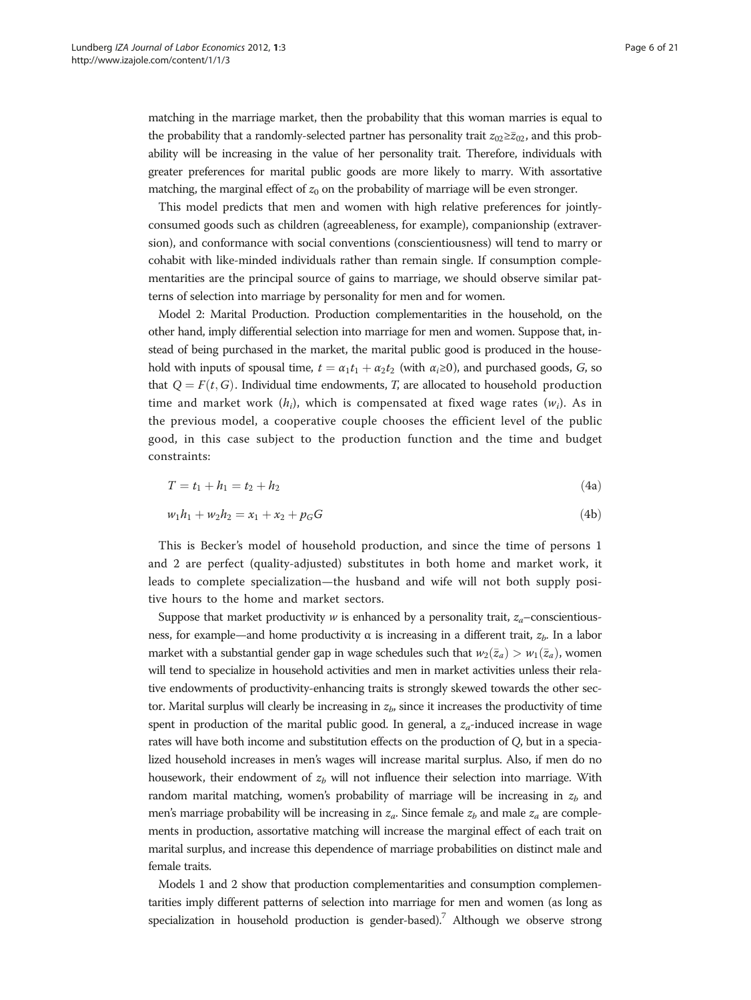matching in the marriage market, then the probability that this woman marries is equal to the probability that a randomly-selected partner has personality trait  $z_{02} \geq \bar{z}_{02}$ , and this probability will be increasing in the value of her personality trait. Therefore, individuals with greater preferences for marital public goods are more likely to marry. With assortative matching, the marginal effect of  $z_0$  on the probability of marriage will be even stronger.

This model predicts that men and women with high relative preferences for jointlyconsumed goods such as children (agreeableness, for example), companionship (extraversion), and conformance with social conventions (conscientiousness) will tend to marry or cohabit with like-minded individuals rather than remain single. If consumption complementarities are the principal source of gains to marriage, we should observe similar patterns of selection into marriage by personality for men and for women.

Model 2: Marital Production. Production complementarities in the household, on the other hand, imply differential selection into marriage for men and women. Suppose that, instead of being purchased in the market, the marital public good is produced in the household with inputs of spousal time,  $t = \alpha_1 t_1 + \alpha_2 t_2$  (with  $\alpha_i \ge 0$ ), and purchased goods, G, so that  $Q = F(t, G)$ . Individual time endowments, T, are allocated to household production time and market work  $(h_i)$ , which is compensated at fixed wage rates  $(w_i)$ . As in the previous model, a cooperative couple chooses the efficient level of the public good, in this case subject to the production function and the time and budget constraints:

$$
T = t_1 + h_1 = t_2 + h_2 \tag{4a}
$$

$$
w_1 h_1 + w_2 h_2 = x_1 + x_2 + p_G G \tag{4b}
$$

This is Becker's model of household production, and since the time of persons 1 and 2 are perfect (quality-adjusted) substitutes in both home and market work, it leads to complete specialization—the husband and wife will not both supply positive hours to the home and market sectors.

Suppose that market productivity  $w$  is enhanced by a personality trait,  $z_a$ –conscientiousness, for example—and home productivity  $\alpha$  is increasing in a different trait,  $z_b$ . In a labor market with a substantial gender gap in wage schedules such that  $w_2(\bar{z}_a) > w_1(\bar{z}_a)$ , women will tend to specialize in household activities and men in market activities unless their relative endowments of productivity-enhancing traits is strongly skewed towards the other sector. Marital surplus will clearly be increasing in  $z<sub>b</sub>$ , since it increases the productivity of time spent in production of the marital public good. In general, a  $z_a$ -induced increase in wage rates will have both income and substitution effects on the production of Q, but in a specialized household increases in men's wages will increase marital surplus. Also, if men do no housework, their endowment of  $z<sub>b</sub>$  will not influence their selection into marriage. With random marital matching, women's probability of marriage will be increasing in  $z<sub>b</sub>$  and men's marriage probability will be increasing in  $z_a$ . Since female  $z_b$  and male  $z_a$  are complements in production, assortative matching will increase the marginal effect of each trait on marital surplus, and increase this dependence of marriage probabilities on distinct male and female traits.

Models 1 and 2 show that production complementarities and consumption complementarities imply different patterns of selection into marriage for men and women (as long as specialization in household production is gender-based).<sup>7</sup> Although we observe strong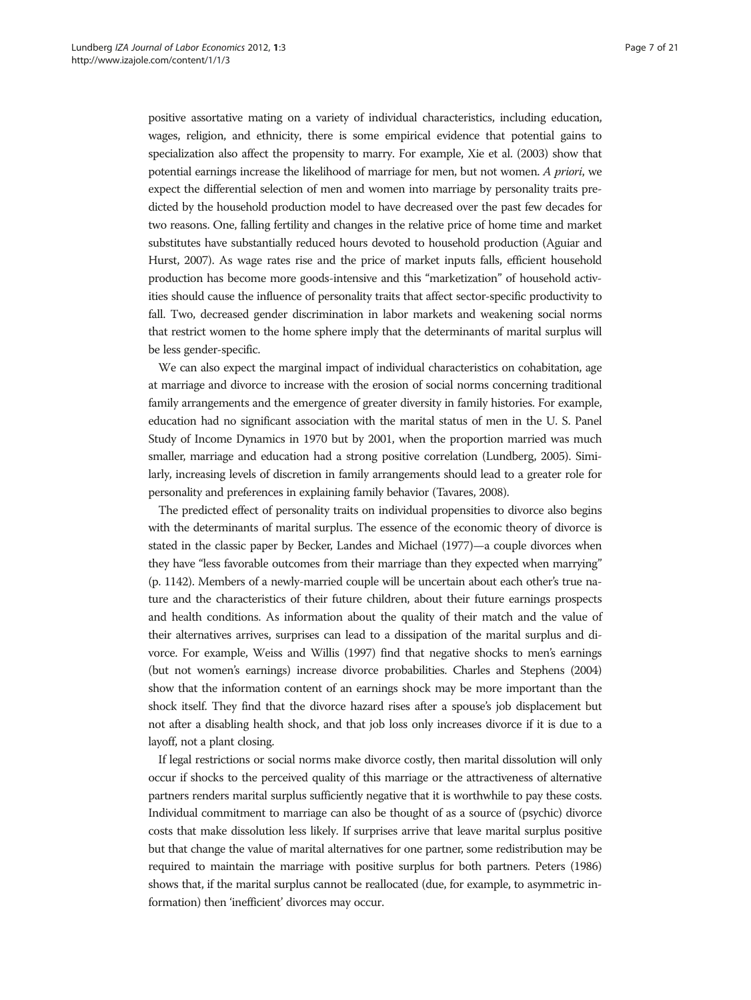positive assortative mating on a variety of individual characteristics, including education, wages, religion, and ethnicity, there is some empirical evidence that potential gains to specialization also affect the propensity to marry. For example, Xie et al. [\(2003\)](#page-20-0) show that potential earnings increase the likelihood of marriage for men, but not women. A priori, we expect the differential selection of men and women into marriage by personality traits predicted by the household production model to have decreased over the past few decades for two reasons. One, falling fertility and changes in the relative price of home time and market substitutes have substantially reduced hours devoted to household production [\(Aguiar and](#page-18-0) [Hurst, 2007](#page-18-0)). As wage rates rise and the price of market inputs falls, efficient household production has become more goods-intensive and this "marketization" of household activities should cause the influence of personality traits that affect sector-specific productivity to fall. Two, decreased gender discrimination in labor markets and weakening social norms that restrict women to the home sphere imply that the determinants of marital surplus will be less gender-specific.

We can also expect the marginal impact of individual characteristics on cohabitation, age at marriage and divorce to increase with the erosion of social norms concerning traditional family arrangements and the emergence of greater diversity in family histories. For example, education had no significant association with the marital status of men in the U. S. Panel Study of Income Dynamics in 1970 but by 2001, when the proportion married was much smaller, marriage and education had a strong positive correlation (Lundberg, [2005](#page-19-0)). Similarly, increasing levels of discretion in family arrangements should lead to a greater role for personality and preferences in explaining family behavior (Tavares, 2008).

The predicted effect of personality traits on individual propensities to divorce also begins with the determinants of marital surplus. The essence of the economic theory of divorce is stated in the classic paper by [Becker, Landes and Michael \(1977](#page-19-0))—a couple divorces when they have "less favorable outcomes from their marriage than they expected when marrying" (p. 1142). Members of a newly-married couple will be uncertain about each other's true nature and the characteristics of their future children, about their future earnings prospects and health conditions. As information about the quality of their match and the value of their alternatives arrives, surprises can lead to a dissipation of the marital surplus and divorce. For example, [Weiss and Willis \(1997](#page-20-0)) find that negative shocks to men's earnings (but not women's earnings) increase divorce probabilities. [Charles and Stephens \(2004](#page-19-0)) show that the information content of an earnings shock may be more important than the shock itself. They find that the divorce hazard rises after a spouse's job displacement but not after a disabling health shock, and that job loss only increases divorce if it is due to a layoff, not a plant closing.

If legal restrictions or social norms make divorce costly, then marital dissolution will only occur if shocks to the perceived quality of this marriage or the attractiveness of alternative partners renders marital surplus sufficiently negative that it is worthwhile to pay these costs. Individual commitment to marriage can also be thought of as a source of (psychic) divorce costs that make dissolution less likely. If surprises arrive that leave marital surplus positive but that change the value of marital alternatives for one partner, some redistribution may be required to maintain the marriage with positive surplus for both partners. [Peters \(1986](#page-19-0)) shows that, if the marital surplus cannot be reallocated (due, for example, to asymmetric information) then 'inefficient' divorces may occur.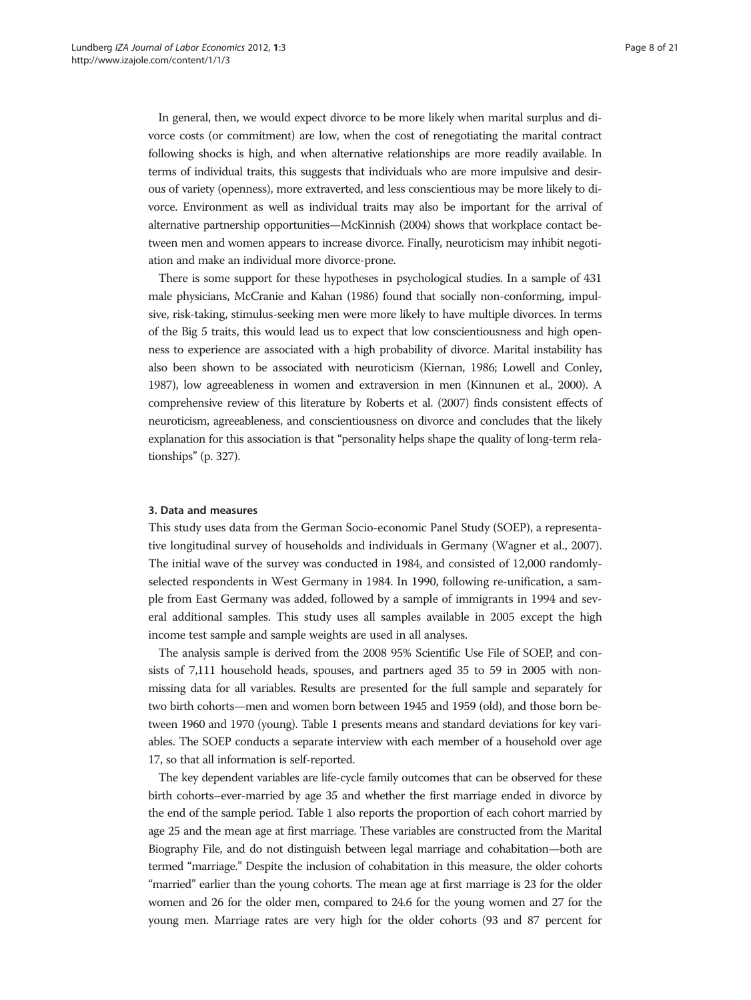In general, then, we would expect divorce to be more likely when marital surplus and divorce costs (or commitment) are low, when the cost of renegotiating the marital contract following shocks is high, and when alternative relationships are more readily available. In terms of individual traits, this suggests that individuals who are more impulsive and desirous of variety (openness), more extraverted, and less conscientious may be more likely to divorce. Environment as well as individual traits may also be important for the arrival of alternative partnership opportunities—[McKinnish \(2004\)](#page-19-0) shows that workplace contact between men and women appears to increase divorce. Finally, neuroticism may inhibit negotiation and make an individual more divorce-prone.

There is some support for these hypotheses in psychological studies. In a sample of 431 male physicians, [McCranie and Kahan \(1986](#page-19-0)) found that socially non-conforming, impulsive, risk-taking, stimulus-seeking men were more likely to have multiple divorces. In terms of the Big 5 traits, this would lead us to expect that low conscientiousness and high openness to experience are associated with a high probability of divorce. Marital instability has also been shown to be associated with neuroticism ([Kiernan, 1986](#page-19-0); [Lowell and Conley,](#page-19-0) [1987\)](#page-19-0), low agreeableness in women and extraversion in men [\(Kinnunen et al., 2000](#page-19-0)). A comprehensive review of this literature by [Roberts et al. \(2007](#page-20-0)) finds consistent effects of neuroticism, agreeableness, and conscientiousness on divorce and concludes that the likely explanation for this association is that "personality helps shape the quality of long-term relationships" (p. 327).

# 3. Data and measures

This study uses data from the German Socio-economic Panel Study (SOEP), a representative longitudinal survey of households and individuals in Germany [\(Wagner et al., 2007](#page-20-0)). The initial wave of the survey was conducted in 1984, and consisted of 12,000 randomlyselected respondents in West Germany in 1984. In 1990, following re-unification, a sample from East Germany was added, followed by a sample of immigrants in 1994 and several additional samples. This study uses all samples available in 2005 except the high income test sample and sample weights are used in all analyses.

The analysis sample is derived from the 2008 95% Scientific Use File of SOEP, and consists of 7,111 household heads, spouses, and partners aged 35 to 59 in 2005 with nonmissing data for all variables. Results are presented for the full sample and separately for two birth cohorts—men and women born between 1945 and 1959 (old), and those born between 1960 and 1970 (young). Table [1](#page-8-0) presents means and standard deviations for key variables. The SOEP conducts a separate interview with each member of a household over age 17, so that all information is self-reported.

The key dependent variables are life-cycle family outcomes that can be observed for these birth cohorts–ever-married by age 35 and whether the first marriage ended in divorce by the end of the sample period. Table [1](#page-8-0) also reports the proportion of each cohort married by age 25 and the mean age at first marriage. These variables are constructed from the Marital Biography File, and do not distinguish between legal marriage and cohabitation—both are termed "marriage." Despite the inclusion of cohabitation in this measure, the older cohorts "married" earlier than the young cohorts. The mean age at first marriage is 23 for the older women and 26 for the older men, compared to 24.6 for the young women and 27 for the young men. Marriage rates are very high for the older cohorts (93 and 87 percent for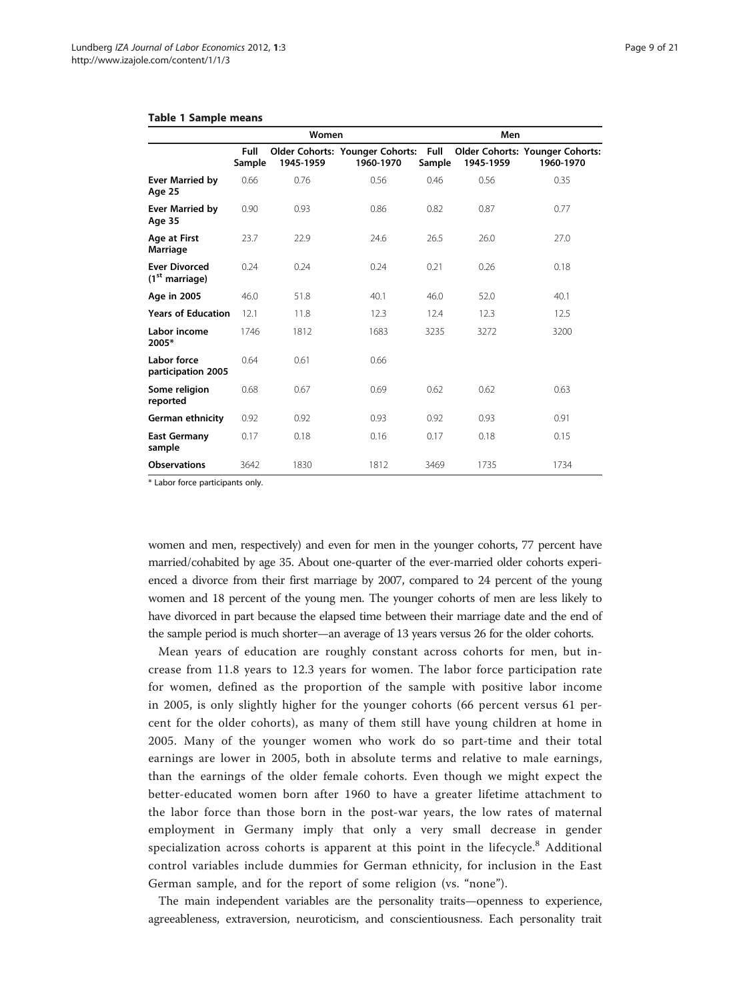<span id="page-8-0"></span>

|                                                    |                | Women     |                                                     |                | Men       |                                                     |  |  |  |
|----------------------------------------------------|----------------|-----------|-----------------------------------------------------|----------------|-----------|-----------------------------------------------------|--|--|--|
|                                                    | Full<br>Sample | 1945-1959 | <b>Older Cohorts: Younger Cohorts:</b><br>1960-1970 | Full<br>Sample | 1945-1959 | <b>Older Cohorts: Younger Cohorts:</b><br>1960-1970 |  |  |  |
| <b>Ever Married by</b><br>Age 25                   | 0.66           | 0.76      | 0.56                                                | 0.46           | 0.56      | 0.35                                                |  |  |  |
| <b>Ever Married by</b><br>Age 35                   | 0.90           | 0.93      | 0.86                                                | 0.82           | 0.87      | 0.77                                                |  |  |  |
| Age at First<br>Marriage                           | 23.7           | 22.9      | 24.6                                                | 26.5           | 26.0      | 27.0                                                |  |  |  |
| <b>Ever Divorced</b><br>(1 <sup>st</sup> marriage) | 0.24           | 0.24      | 0.24                                                | 0.21           | 0.26      | 0.18                                                |  |  |  |
| Age in 2005                                        | 46.0           | 51.8      | 40.1                                                | 46.0           | 52.0      | 40.1                                                |  |  |  |
| <b>Years of Education</b>                          | 12.1           | 11.8      | 12.3                                                | 12.4           | 12.3      | 12.5                                                |  |  |  |
| Labor income<br>2005*                              | 1746           | 1812      | 1683                                                | 3235           | 3272      | 3200                                                |  |  |  |
| Labor force<br>participation 2005                  | 0.64           | 0.61      | 0.66                                                |                |           |                                                     |  |  |  |
| Some religion<br>reported                          | 0.68           | 0.67      | 0.69                                                | 0.62           | 0.62      | 0.63                                                |  |  |  |
| German ethnicity                                   | 0.92           | 0.92      | 0.93                                                | 0.92           | 0.93      | 0.91                                                |  |  |  |
| <b>East Germany</b><br>sample                      | 0.17           | 0.18      | 0.16                                                | 0.17           | 0.18      | 0.15                                                |  |  |  |
| <b>Observations</b>                                | 3642           | 1830      | 1812                                                | 3469           | 1735      | 1734                                                |  |  |  |

\* Labor force participants only.

women and men, respectively) and even for men in the younger cohorts, 77 percent have married/cohabited by age 35. About one-quarter of the ever-married older cohorts experienced a divorce from their first marriage by 2007, compared to 24 percent of the young women and 18 percent of the young men. The younger cohorts of men are less likely to have divorced in part because the elapsed time between their marriage date and the end of the sample period is much shorter—an average of 13 years versus 26 for the older cohorts.

Mean years of education are roughly constant across cohorts for men, but increase from 11.8 years to 12.3 years for women. The labor force participation rate for women, defined as the proportion of the sample with positive labor income in 2005, is only slightly higher for the younger cohorts (66 percent versus 61 percent for the older cohorts), as many of them still have young children at home in 2005. Many of the younger women who work do so part-time and their total earnings are lower in 2005, both in absolute terms and relative to male earnings, than the earnings of the older female cohorts. Even though we might expect the better-educated women born after 1960 to have a greater lifetime attachment to the labor force than those born in the post-war years, the low rates of maternal employment in Germany imply that only a very small decrease in gender specialization across cohorts is apparent at this point in the lifecycle.<sup>8</sup> Additional control variables include dummies for German ethnicity, for inclusion in the East German sample, and for the report of some religion (vs. "none").

The main independent variables are the personality traits—openness to experience, agreeableness, extraversion, neuroticism, and conscientiousness. Each personality trait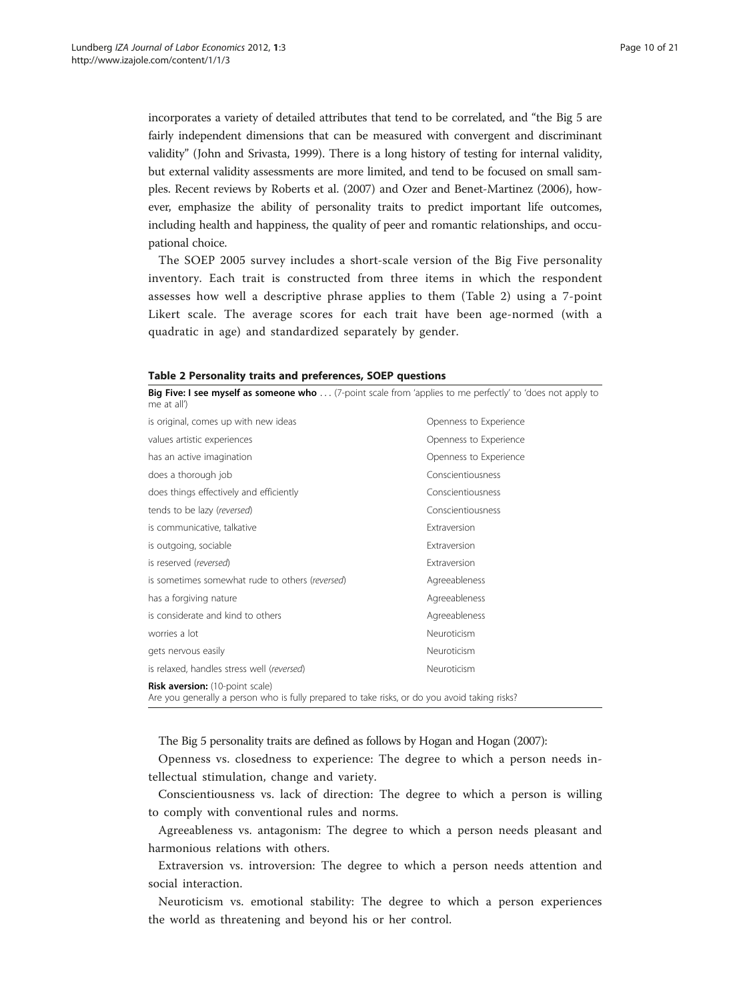incorporates a variety of detailed attributes that tend to be correlated, and "the Big 5 are fairly independent dimensions that can be measured with convergent and discriminant validity" [\(John and Srivasta, 1999](#page-19-0)). There is a long history of testing for internal validity, but external validity assessments are more limited, and tend to be focused on small samples. Recent reviews by [Roberts et al. \(2007\)](#page-20-0) and [Ozer and Benet-Martinez \(2006](#page-19-0)), however, emphasize the ability of personality traits to predict important life outcomes, including health and happiness, the quality of peer and romantic relationships, and occupational choice.

The SOEP 2005 survey includes a short-scale version of the Big Five personality inventory. Each trait is constructed from three items in which the respondent assesses how well a descriptive phrase applies to them (Table 2) using a 7-point Likert scale. The average scores for each trait have been age-normed (with a quadratic in age) and standardized separately by gender.

| Table 2 Personality traits and preferences, SOEP questions |  |  |  |  |  |
|------------------------------------------------------------|--|--|--|--|--|
|------------------------------------------------------------|--|--|--|--|--|

|                                      | <b>Big Five: I see myself as someone who</b> (7-point scale from 'applies to me perfectly' to 'does not apply to |
|--------------------------------------|------------------------------------------------------------------------------------------------------------------|
| me at all')                          |                                                                                                                  |
| is original, comes up with new ideas | Openness to Experience                                                                                           |

| is original, comes up with new ideas                                                                                                    | Openness to Experience |
|-----------------------------------------------------------------------------------------------------------------------------------------|------------------------|
| values artistic experiences                                                                                                             | Openness to Experience |
| has an active imagination                                                                                                               | Openness to Experience |
| does a thorough job                                                                                                                     | Conscientiousness      |
| does things effectively and efficiently                                                                                                 | Conscientiousness      |
| tends to be lazy (reversed)                                                                                                             | Conscientiousness      |
| is communicative, talkative                                                                                                             | Extraversion           |
| is outgoing, sociable                                                                                                                   | Extraversion           |
| is reserved (reversed)                                                                                                                  | Extraversion           |
| is sometimes somewhat rude to others (reversed)                                                                                         | Agreeableness          |
| has a forgiving nature                                                                                                                  | Agreeableness          |
| is considerate and kind to others                                                                                                       | Agreeableness          |
| worries a lot                                                                                                                           | Neuroticism            |
| gets nervous easily                                                                                                                     | Neuroticism            |
| is relaxed, handles stress well (reversed)                                                                                              | Neuroticism            |
| <b>Risk aversion:</b> (10-point scale)<br>Are you generally a person who is fully prepared to take risks, or do you avoid taking risks? |                        |

The Big 5 personality traits are defined as follows by [Hogan and Hogan \(2007](#page-19-0)):

Openness vs. closedness to experience: The degree to which a person needs intellectual stimulation, change and variety.

Conscientiousness vs. lack of direction: The degree to which a person is willing to comply with conventional rules and norms.

Agreeableness vs. antagonism: The degree to which a person needs pleasant and harmonious relations with others.

Extraversion vs. introversion: The degree to which a person needs attention and social interaction.

Neuroticism vs. emotional stability: The degree to which a person experiences the world as threatening and beyond his or her control.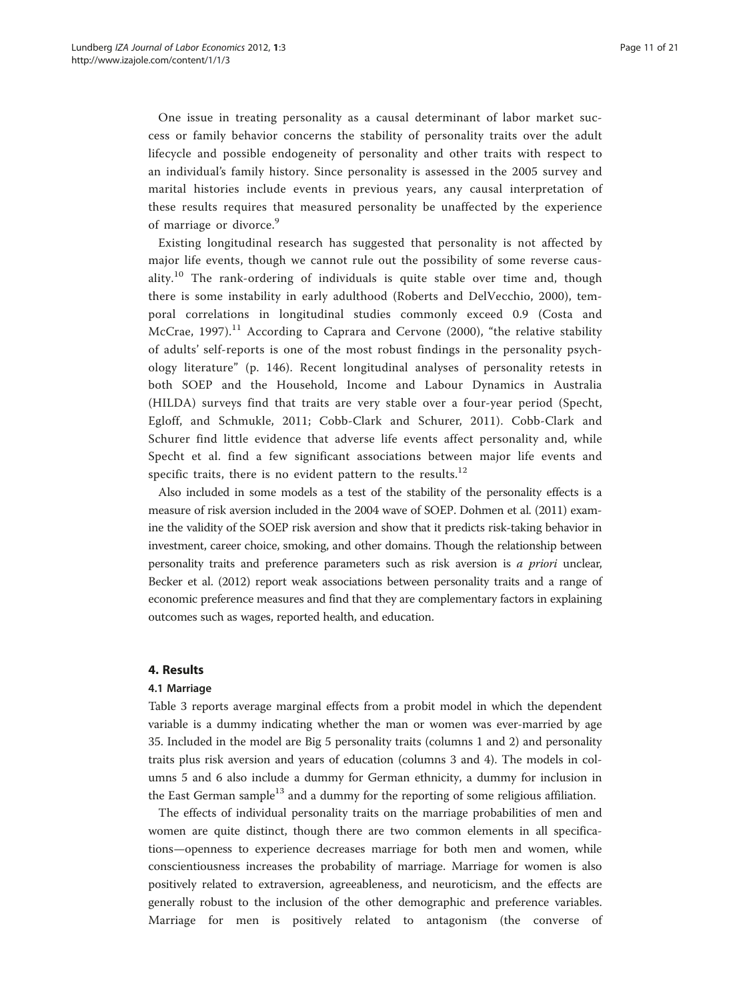One issue in treating personality as a causal determinant of labor market success or family behavior concerns the stability of personality traits over the adult lifecycle and possible endogeneity of personality and other traits with respect to an individual's family history. Since personality is assessed in the 2005 survey and marital histories include events in previous years, any causal interpretation of these results requires that measured personality be unaffected by the experience of marriage or divorce.<sup>9</sup>

Existing longitudinal research has suggested that personality is not affected by major life events, though we cannot rule out the possibility of some reverse causality.<sup>10</sup> The rank-ordering of individuals is quite stable over time and, though there is some instability in early adulthood ([Roberts and DelVecchio, 2000\)](#page-20-0), temporal correlations in longitudinal studies commonly exceed 0.9 (Costa and McCrae, 1997).<sup>11</sup> According to [Caprara and Cervone \(2000\)](#page-19-0), "the relative stability of adults' self-reports is one of the most robust findings in the personality psychology literature" (p. 146). Recent longitudinal analyses of personality retests in both SOEP and the Household, Income and Labour Dynamics in Australia (HILDA) surveys find that traits are very stable over a four-year period (Specht, Egloff, and Schmukle, 2011; Cobb-Clark and Schurer, 2011). Cobb-Clark and Schurer find little evidence that adverse life events affect personality and, while Specht et al. find a few significant associations between major life events and specific traits, there is no evident pattern to the results.<sup>12</sup>

Also included in some models as a test of the stability of the personality effects is a measure of risk aversion included in the 2004 wave of SOEP. [Dohmen et al. \(2011\)](#page-19-0) examine the validity of the SOEP risk aversion and show that it predicts risk-taking behavior in investment, career choice, smoking, and other domains. Though the relationship between personality traits and preference parameters such as risk aversion is a priori unclear, Becker et al. (2012) report weak associations between personality traits and a range of economic preference measures and find that they are complementary factors in explaining outcomes such as wages, reported health, and education.

# 4. Results

#### 4.1 Marriage

Table [3](#page-11-0) reports average marginal effects from a probit model in which the dependent variable is a dummy indicating whether the man or women was ever-married by age 35. Included in the model are Big 5 personality traits (columns 1 and 2) and personality traits plus risk aversion and years of education (columns 3 and 4). The models in columns 5 and 6 also include a dummy for German ethnicity, a dummy for inclusion in the East German sample<sup>13</sup> and a dummy for the reporting of some religious affiliation.

The effects of individual personality traits on the marriage probabilities of men and women are quite distinct, though there are two common elements in all specifications—openness to experience decreases marriage for both men and women, while conscientiousness increases the probability of marriage. Marriage for women is also positively related to extraversion, agreeableness, and neuroticism, and the effects are generally robust to the inclusion of the other demographic and preference variables. Marriage for men is positively related to antagonism (the converse of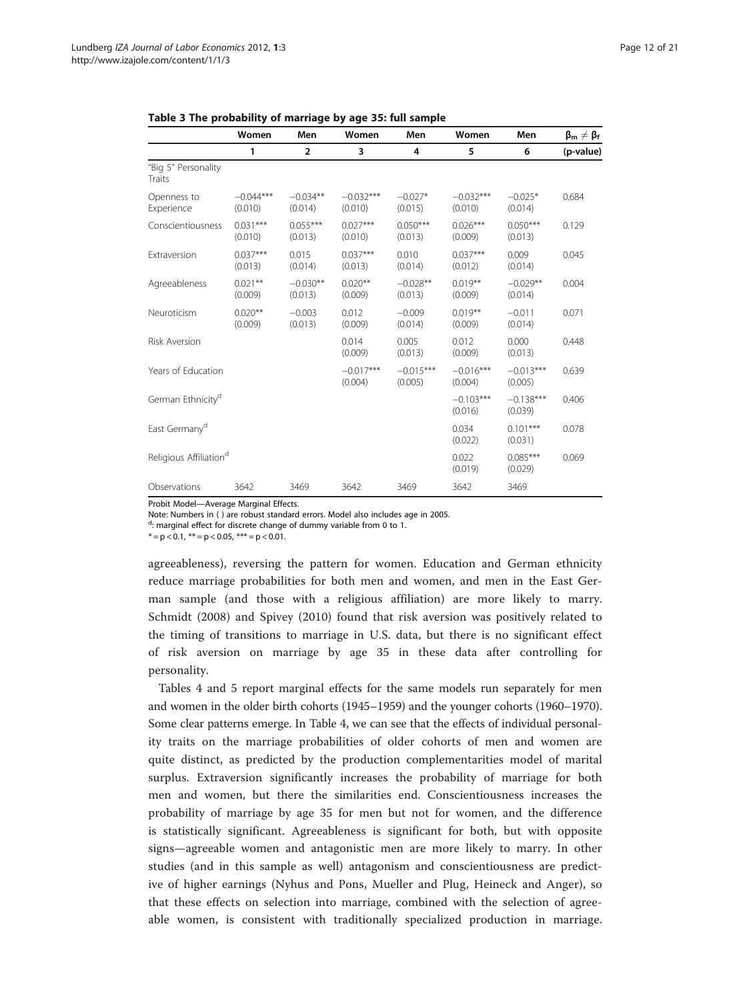|                                    | Women                  | Men                   | Women                  | Men                    | Women                  | Men                    | $\beta_{\rm m}\neq\beta_{\rm f}$ |
|------------------------------------|------------------------|-----------------------|------------------------|------------------------|------------------------|------------------------|----------------------------------|
|                                    | 1                      | $\overline{2}$        | 3                      | 4                      | 5                      | 6                      | (p-value)                        |
| "Big 5" Personality<br>Traits      |                        |                       |                        |                        |                        |                        |                                  |
| Openness to<br>Experience          | $-0.044***$<br>(0.010) | $-0.034**$<br>(0.014) | $-0.032***$<br>(0.010) | $-0.027*$<br>(0.015)   | $-0.032***$<br>(0.010) | $-0.025*$<br>(0.014)   | 0.684                            |
| Conscientiousness                  | $0.031***$<br>(0.010)  | $0.055***$<br>(0.013) | $0.027***$<br>(0.010)  | $0.050***$<br>(0.013)  | $0.026***$<br>(0.009)  | $0.050***$<br>(0.013)  | 0.129                            |
| Extraversion                       | $0.037***$<br>(0.013)  | 0.015<br>(0.014)      | $0.037***$<br>(0.013)  | 0.010<br>(0.014)       | $0.037***$<br>(0.012)  | 0.009<br>(0.014)       | 0.045                            |
| Agreeableness                      | $0.021***$<br>(0.009)  | $-0.030**$<br>(0.013) | $0.020**$<br>(0.009)   | $-0.028**$<br>(0.013)  | $0.019**$<br>(0.009)   | $-0.029**$<br>(0.014)  | 0.004                            |
| Neuroticism                        | $0.020**$<br>(0.009)   | $-0.003$<br>(0.013)   | 0.012<br>(0.009)       | $-0.009$<br>(0.014)    | $0.019**$<br>(0.009)   | $-0.011$<br>(0.014)    | 0.071                            |
| <b>Risk Aversion</b>               |                        |                       | 0.014<br>(0.009)       | 0.005<br>(0.013)       | 0.012<br>(0.009)       | 0.000<br>(0.013)       | 0.448                            |
| Years of Education                 |                        |                       | $-0.017***$<br>(0.004) | $-0.015***$<br>(0.005) | $-0.016***$<br>(0.004) | $-0.013***$<br>(0.005) | 0.639                            |
| German Ethnicity <sup>d</sup>      |                        |                       |                        |                        | $-0.103***$<br>(0.016) | $-0.138***$<br>(0.039) | 0.406                            |
| East Germany <sup>d</sup>          |                        |                       |                        |                        | 0.034<br>(0.022)       | $0.101***$<br>(0.031)  | 0.078                            |
| Religious Affiliation <sup>d</sup> |                        |                       |                        |                        | 0.022<br>(0.019)       | $0.085***$<br>(0.029)  | 0.069                            |
| Observations                       | 3642                   | 3469                  | 3642                   | 3469                   | 3642                   | 3469                   |                                  |

<span id="page-11-0"></span>

|  | Table 3 The probability of marriage by age 35: full sample |  |  |  |  |  |  |  |
|--|------------------------------------------------------------|--|--|--|--|--|--|--|
|--|------------------------------------------------------------|--|--|--|--|--|--|--|

Probit Model—Average Marginal Effects.

Note: Numbers in ( ) are robust standard errors. Model also includes age in 2005.

<sup>d</sup>: marginal effect for discrete change of dummy variable from 0 to 1.

 $* = p < 0.1$ ,  $** = p < 0.05$ ,  $** = p < 0.01$ .

agreeableness), reversing the pattern for women. Education and German ethnicity reduce marriage probabilities for both men and women, and men in the East German sample (and those with a religious affiliation) are more likely to marry. [Schmidt \(2008\)](#page-20-0) and Spivey ([2010](#page-20-0)) found that risk aversion was positively related to the timing of transitions to marriage in U.S. data, but there is no significant effect of risk aversion on marriage by age 35 in these data after controlling for personality.

Tables [4](#page-12-0) and [5](#page-13-0) report marginal effects for the same models run separately for men and women in the older birth cohorts (1945–1959) and the younger cohorts (1960–1970). Some clear patterns emerge. In Table [4,](#page-12-0) we can see that the effects of individual personality traits on the marriage probabilities of older cohorts of men and women are quite distinct, as predicted by the production complementarities model of marital surplus. Extraversion significantly increases the probability of marriage for both men and women, but there the similarities end. Conscientiousness increases the probability of marriage by age 35 for men but not for women, and the difference is statistically significant. Agreeableness is significant for both, but with opposite signs—agreeable women and antagonistic men are more likely to marry. In other studies (and in this sample as well) antagonism and conscientiousness are predictive of higher earnings (Nyhus and Pons, Mueller and Plug, Heineck and Anger), so that these effects on selection into marriage, combined with the selection of agreeable women, is consistent with traditionally specialized production in marriage.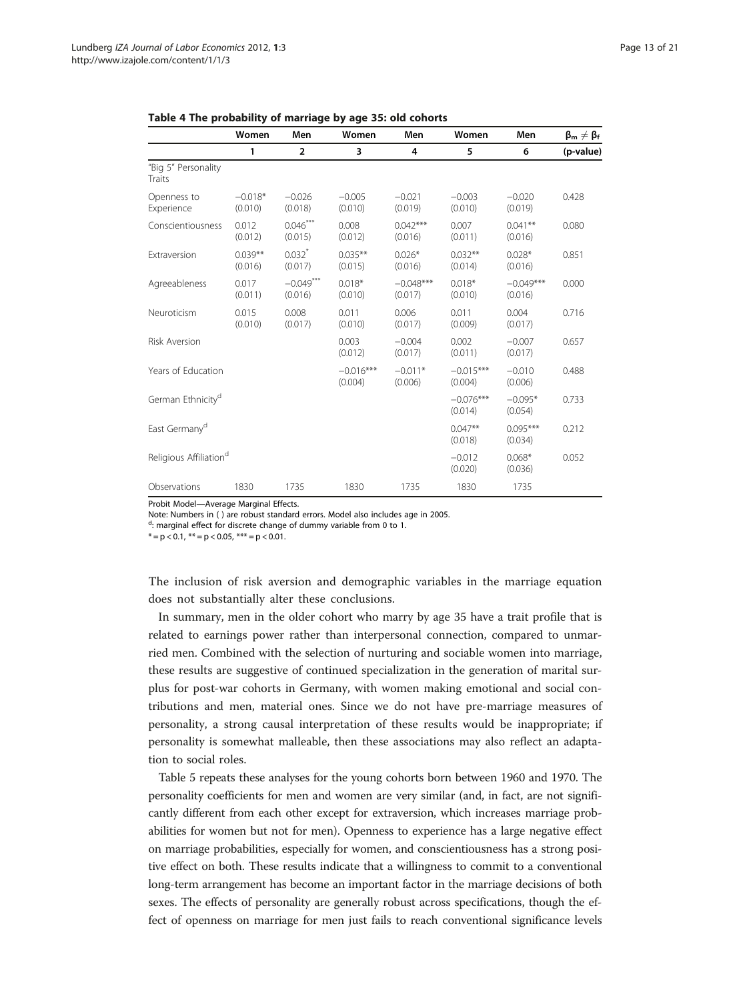|                                    | Women                | Men                             | Women                  | Men                    | Women                  | Men                    | $\beta_m \neq \beta_f$ |
|------------------------------------|----------------------|---------------------------------|------------------------|------------------------|------------------------|------------------------|------------------------|
|                                    | 1                    | $\overline{2}$                  | 3                      | 4                      | 5                      | 6                      | (p-value)              |
| "Big 5" Personality<br>Traits      |                      |                                 |                        |                        |                        |                        |                        |
| Openness to<br>Experience          | $-0.018*$<br>(0.010) | $-0.026$<br>(0.018)             | $-0.005$<br>(0.010)    | $-0.021$<br>(0.019)    | $-0.003$<br>(0.010)    | $-0.020$<br>(0.019)    | 0.428                  |
| Conscientiousness                  | 0.012<br>(0.012)     | $0.046***$<br>(0.015)           | 0.008<br>(0.012)       | $0.042***$<br>(0.016)  | 0.007<br>(0.011)       | $0.041**$<br>(0.016)   | 0.080                  |
| Extraversion                       | $0.039**$<br>(0.016) | $0.032$ <sup>*</sup><br>(0.017) | $0.035***$<br>(0.015)  | $0.026*$<br>(0.016)    | $0.032**$<br>(0.014)   | $0.028*$<br>(0.016)    | 0.851                  |
| Agreeableness                      | 0.017<br>(0.011)     | $-0.049***$<br>(0.016)          | $0.018*$<br>(0.010)    | $-0.048***$<br>(0.017) | $0.018*$<br>(0.010)    | $-0.049***$<br>(0.016) | 0.000                  |
| Neuroticism                        | 0.015<br>(0.010)     | 0.008<br>(0.017)                | 0.011<br>(0.010)       | 0.006<br>(0.017)       | 0.011<br>(0.009)       | 0.004<br>(0.017)       | 0.716                  |
| <b>Risk Aversion</b>               |                      |                                 | 0.003<br>(0.012)       | $-0.004$<br>(0.017)    | 0.002<br>(0.011)       | $-0.007$<br>(0.017)    | 0.657                  |
| Years of Education                 |                      |                                 | $-0.016***$<br>(0.004) | $-0.011*$<br>(0.006)   | $-0.015***$<br>(0.004) | $-0.010$<br>(0.006)    | 0.488                  |
| German Ethnicity <sup>d</sup>      |                      |                                 |                        |                        | $-0.076***$<br>(0.014) | $-0.095*$<br>(0.054)   | 0.733                  |
| East Germany <sup>d</sup>          |                      |                                 |                        |                        | $0.047**$<br>(0.018)   | $0.095***$<br>(0.034)  | 0.212                  |
| Religious Affiliation <sup>d</sup> |                      |                                 |                        |                        | $-0.012$<br>(0.020)    | $0.068*$<br>(0.036)    | 0.052                  |
| Observations                       | 1830                 | 1735                            | 1830                   | 1735                   | 1830                   | 1735                   |                        |

<span id="page-12-0"></span>

| Table 4 The probability of marriage by age 35: old cohorts |  |  |  |  |
|------------------------------------------------------------|--|--|--|--|
|------------------------------------------------------------|--|--|--|--|

Probit Model—Average Marginal Effects.

Note: Numbers in ( ) are robust standard errors. Model also includes age in 2005.

<sup>d</sup>: marginal effect for discrete change of dummy variable from 0 to 1.

 $* = p < 0.1$ ,  $** = p < 0.05$ ,  $** = p < 0.01$ .

The inclusion of risk aversion and demographic variables in the marriage equation does not substantially alter these conclusions.

In summary, men in the older cohort who marry by age 35 have a trait profile that is related to earnings power rather than interpersonal connection, compared to unmarried men. Combined with the selection of nurturing and sociable women into marriage, these results are suggestive of continued specialization in the generation of marital surplus for post-war cohorts in Germany, with women making emotional and social contributions and men, material ones. Since we do not have pre-marriage measures of personality, a strong causal interpretation of these results would be inappropriate; if personality is somewhat malleable, then these associations may also reflect an adaptation to social roles.

Table [5](#page-13-0) repeats these analyses for the young cohorts born between 1960 and 1970. The personality coefficients for men and women are very similar (and, in fact, are not significantly different from each other except for extraversion, which increases marriage probabilities for women but not for men). Openness to experience has a large negative effect on marriage probabilities, especially for women, and conscientiousness has a strong positive effect on both. These results indicate that a willingness to commit to a conventional long-term arrangement has become an important factor in the marriage decisions of both sexes. The effects of personality are generally robust across specifications, though the effect of openness on marriage for men just fails to reach conventional significance levels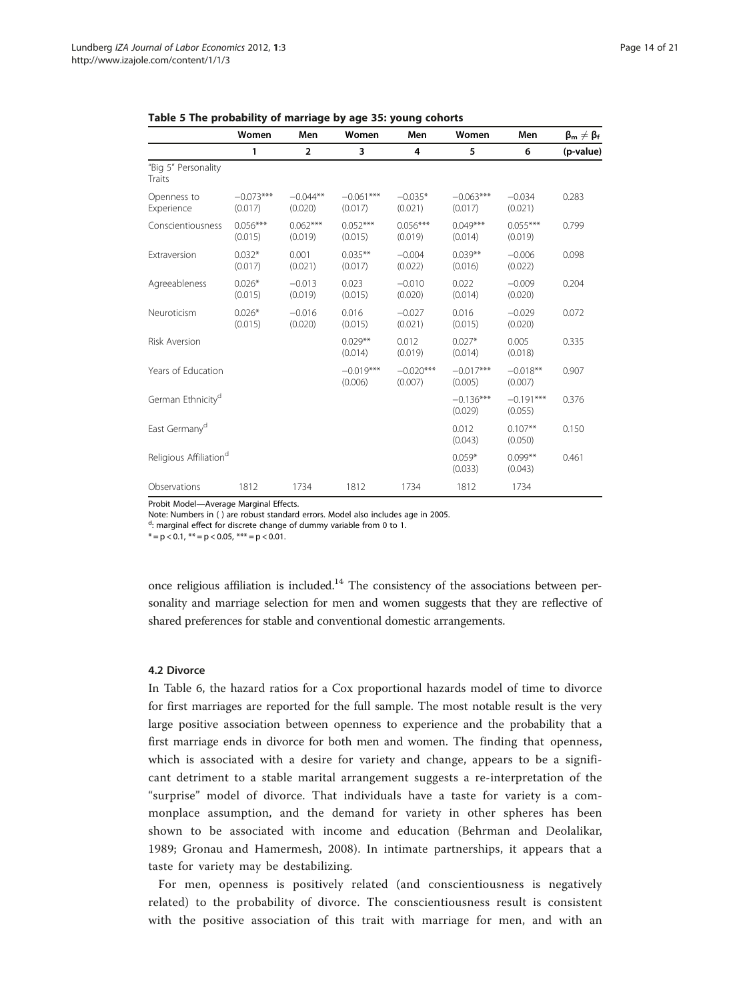|                                    | Women                  | Men                   | Women                  | Men                    | Women                  | Men                    | $\beta_m \neq \beta_f$ |
|------------------------------------|------------------------|-----------------------|------------------------|------------------------|------------------------|------------------------|------------------------|
|                                    | 1                      | $\overline{2}$        | 3                      | 4                      | 5                      | 6                      | (p-value)              |
| "Big 5" Personality<br>Traits      |                        |                       |                        |                        |                        |                        |                        |
| Openness to<br>Experience          | $-0.073***$<br>(0.017) | $-0.044**$<br>(0.020) | $-0.061***$<br>(0.017) | $-0.035*$<br>(0.021)   | $-0.063***$<br>(0.017) | $-0.034$<br>(0.021)    | 0.283                  |
| Conscientiousness                  | $0.056***$<br>(0.015)  | $0.062***$<br>(0.019) | $0.052***$<br>(0.015)  | $0.056***$<br>(0.019)  | $0.049***$<br>(0.014)  | $0.055***$<br>(0.019)  | 0.799                  |
| Extraversion                       | $0.032*$<br>(0.017)    | 0.001<br>(0.021)      | $0.035***$<br>(0.017)  | $-0.004$<br>(0.022)    | $0.039**$<br>(0.016)   | $-0.006$<br>(0.022)    | 0.098                  |
| Agreeableness                      | $0.026*$<br>(0.015)    | $-0.013$<br>(0.019)   | 0.023<br>(0.015)       | $-0.010$<br>(0.020)    | 0.022<br>(0.014)       | $-0.009$<br>(0.020)    | 0.204                  |
| Neuroticism                        | $0.026*$<br>(0.015)    | $-0.016$<br>(0.020)   | 0.016<br>(0.015)       | $-0.027$<br>(0.021)    | 0.016<br>(0.015)       | $-0.029$<br>(0.020)    | 0.072                  |
| <b>Risk Aversion</b>               |                        |                       | $0.029**$<br>(0.014)   | 0.012<br>(0.019)       | $0.027*$<br>(0.014)    | 0.005<br>(0.018)       | 0.335                  |
| Years of Education                 |                        |                       | $-0.019***$<br>(0.006) | $-0.020***$<br>(0.007) | $-0.017***$<br>(0.005) | $-0.018**$<br>(0.007)  | 0.907                  |
| German Ethnicity <sup>d</sup>      |                        |                       |                        |                        | $-0.136***$<br>(0.029) | $-0.191***$<br>(0.055) | 0.376                  |
| East Germany <sup>d</sup>          |                        |                       |                        |                        | 0.012<br>(0.043)       | $0.107**$<br>(0.050)   | 0.150                  |
| Religious Affiliation <sup>d</sup> |                        |                       |                        |                        | $0.059*$<br>(0.033)    | $0.099**$<br>(0.043)   | 0.461                  |
| Observations                       | 1812                   | 1734                  | 1812                   | 1734                   | 1812                   | 1734                   |                        |

<span id="page-13-0"></span>

|  | Table 5 The probability of marriage by age 35: young cohorts |  |  |  |  |  |  |  |
|--|--------------------------------------------------------------|--|--|--|--|--|--|--|
|--|--------------------------------------------------------------|--|--|--|--|--|--|--|

Probit Model—Average Marginal Effects.

Note: Numbers in ( ) are robust standard errors. Model also includes age in 2005.

<sup>d</sup>: marginal effect for discrete change of dummy variable from 0 to 1.

 $* = p < 0.1$ ,  $** = p < 0.05$ ,  $** = p < 0.01$ .

once religious affiliation is included.<sup>14</sup> The consistency of the associations between personality and marriage selection for men and women suggests that they are reflective of shared preferences for stable and conventional domestic arrangements.

# 4.2 Divorce

In Table [6,](#page-14-0) the hazard ratios for a Cox proportional hazards model of time to divorce for first marriages are reported for the full sample. The most notable result is the very large positive association between openness to experience and the probability that a first marriage ends in divorce for both men and women. The finding that openness, which is associated with a desire for variety and change, appears to be a significant detriment to a stable marital arrangement suggests a re-interpretation of the "surprise" model of divorce. That individuals have a taste for variety is a commonplace assumption, and the demand for variety in other spheres has been shown to be associated with income and education ([Behrman and Deolalikar,](#page-19-0) [1989; Gronau and Hamermesh, 2008\)](#page-19-0). In intimate partnerships, it appears that a taste for variety may be destabilizing.

For men, openness is positively related (and conscientiousness is negatively related) to the probability of divorce. The conscientiousness result is consistent with the positive association of this trait with marriage for men, and with an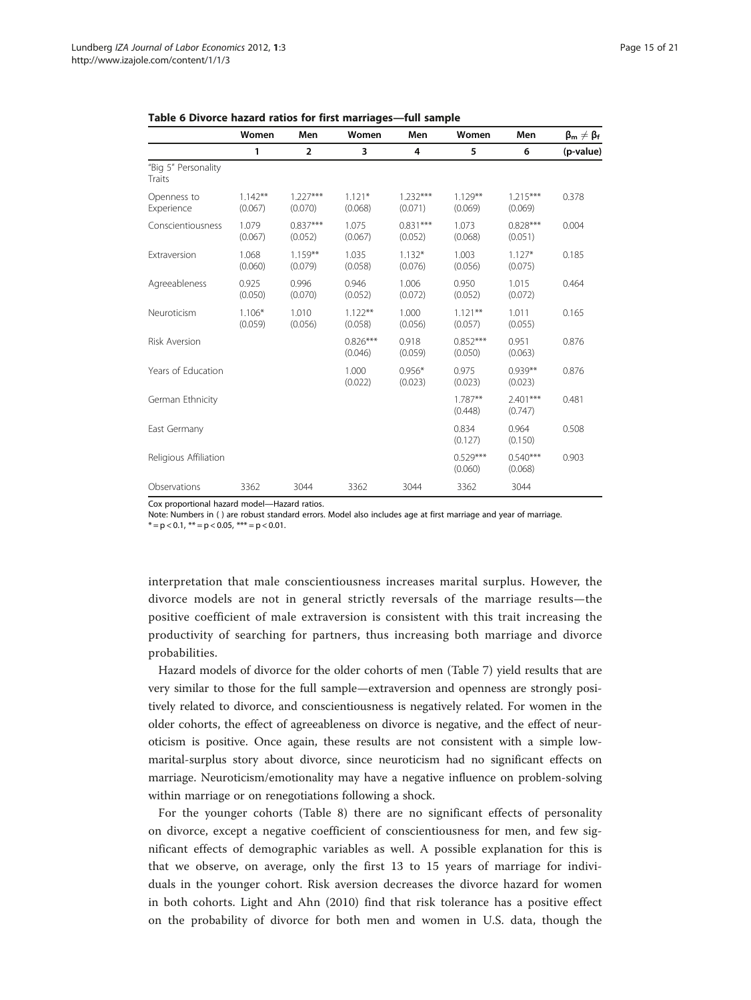|                               | Women                | Men                   | Women                 | Men                   | Women                 | Men                   | $\beta_m \neq \beta_f$ |
|-------------------------------|----------------------|-----------------------|-----------------------|-----------------------|-----------------------|-----------------------|------------------------|
|                               | 1                    | 2                     | 3                     | 4                     | 5                     | 6                     | (p-value)              |
| "Big 5" Personality<br>Traits |                      |                       |                       |                       |                       |                       |                        |
| Openness to<br>Experience     | $1.142**$<br>(0.067) | $1.227***$<br>(0.070) | $1.121*$<br>(0.068)   | $1.232***$<br>(0.071) | $1.129**$<br>(0.069)  | $1.215***$<br>(0.069) | 0.378                  |
| Conscientiousness             | 1.079<br>(0.067)     | $0.837***$<br>(0.052) | 1.075<br>(0.067)      | $0.831***$<br>(0.052) | 1.073<br>(0.068)      | $0.828***$<br>(0.051) | 0.004                  |
| Extraversion                  | 1.068<br>(0.060)     | $1.159***$<br>(0.079) | 1.035<br>(0.058)      | $1.132*$<br>(0.076)   | 1.003<br>(0.056)      | $1.127*$<br>(0.075)   | 0.185                  |
| Agreeableness                 | 0.925<br>(0.050)     | 0.996<br>(0.070)      | 0.946<br>(0.052)      | 1.006<br>(0.072)      | 0.950<br>(0.052)      | 1.015<br>(0.072)      | 0.464                  |
| Neuroticism                   | $1.106*$<br>(0.059)  | 1.010<br>(0.056)      | $1.122***$<br>(0.058) | 1.000<br>(0.056)      | $1.121***$<br>(0.057) | 1.011<br>(0.055)      | 0.165                  |
| <b>Risk Aversion</b>          |                      |                       | $0.826***$<br>(0.046) | 0.918<br>(0.059)      | $0.852***$<br>(0.050) | 0.951<br>(0.063)      | 0.876                  |
| Years of Education            |                      |                       | 1.000<br>(0.022)      | $0.956*$<br>(0.023)   | 0.975<br>(0.023)      | $0.939**$<br>(0.023)  | 0.876                  |
| German Ethnicity              |                      |                       |                       |                       | $1.787**$<br>(0.448)  | $2.401***$<br>(0.747) | 0.481                  |
| East Germany                  |                      |                       |                       |                       | 0.834<br>(0.127)      | 0.964<br>(0.150)      | 0.508                  |
| Religious Affiliation         |                      |                       |                       |                       | $0.529***$<br>(0.060) | $0.540***$<br>(0.068) | 0.903                  |
| Observations                  | 3362                 | 3044                  | 3362                  | 3044                  | 3362                  | 3044                  |                        |

<span id="page-14-0"></span>

| Table 6 Divorce hazard ratios for first marriages—full sample |  |  |  |  |  |
|---------------------------------------------------------------|--|--|--|--|--|
|---------------------------------------------------------------|--|--|--|--|--|

Cox proportional hazard model—Hazard ratios.

Note: Numbers in ( ) are robust standard errors. Model also includes age at first marriage and year of marriage.

 $* = p < 0.1$ ,  $** = p < 0.05$ ,  $*** = p < 0.01$ .

interpretation that male conscientiousness increases marital surplus. However, the divorce models are not in general strictly reversals of the marriage results—the positive coefficient of male extraversion is consistent with this trait increasing the productivity of searching for partners, thus increasing both marriage and divorce probabilities.

Hazard models of divorce for the older cohorts of men (Table [7\)](#page-15-0) yield results that are very similar to those for the full sample—extraversion and openness are strongly positively related to divorce, and conscientiousness is negatively related. For women in the older cohorts, the effect of agreeableness on divorce is negative, and the effect of neuroticism is positive. Once again, these results are not consistent with a simple lowmarital-surplus story about divorce, since neuroticism had no significant effects on marriage. Neuroticism/emotionality may have a negative influence on problem-solving within marriage or on renegotiations following a shock.

For the younger cohorts (Table [8\)](#page-16-0) there are no significant effects of personality on divorce, except a negative coefficient of conscientiousness for men, and few significant effects of demographic variables as well. A possible explanation for this is that we observe, on average, only the first 13 to 15 years of marriage for individuals in the younger cohort. Risk aversion decreases the divorce hazard for women in both cohorts. [Light and Ahn \(2010\)](#page-19-0) find that risk tolerance has a positive effect on the probability of divorce for both men and women in U.S. data, though the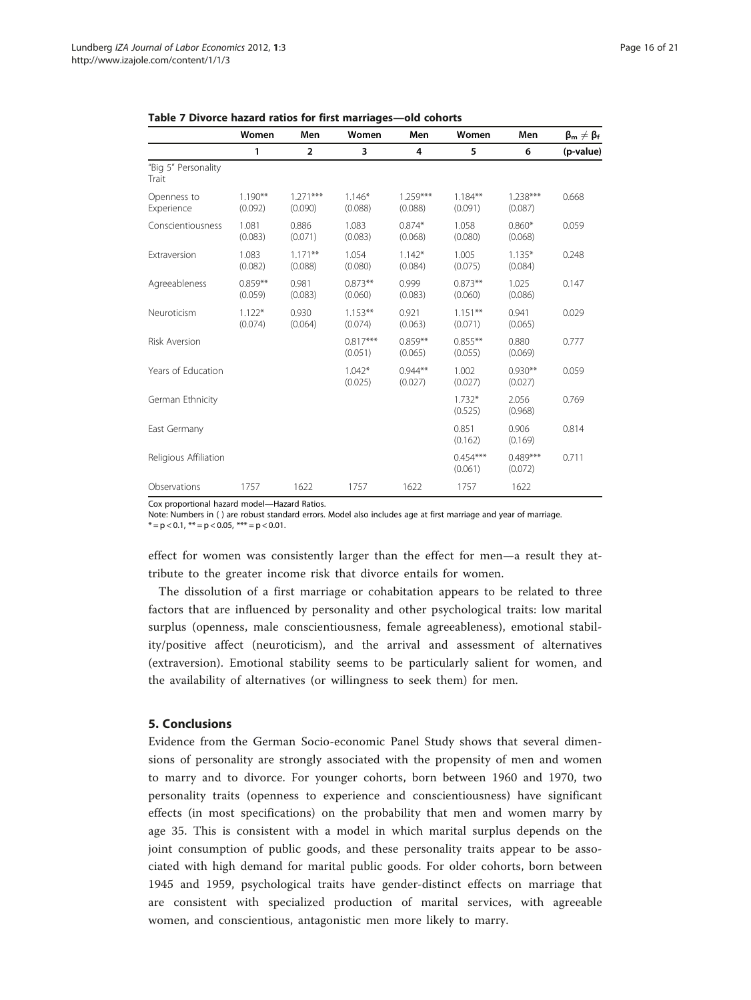|                              | Women                | Men                   | Women                 | Men                   | Women                 | Men                   | $\beta_{m} \neq \beta_{f}$ |
|------------------------------|----------------------|-----------------------|-----------------------|-----------------------|-----------------------|-----------------------|----------------------------|
|                              | 1                    | $\overline{2}$        | 3                     | 4                     | 5                     | 6                     | (p-value)                  |
| "Big 5" Personality<br>Trait |                      |                       |                       |                       |                       |                       |                            |
| Openness to<br>Experience    | $1.190**$<br>(0.092) | $1.271***$<br>(0.090) | $1.146*$<br>(0.088)   | $1.259***$<br>(0.088) | $1.184**$<br>(0.091)  | $1.238***$<br>(0.087) | 0.668                      |
| Conscientiousness            | 1.081<br>(0.083)     | 0.886<br>(0.071)      | 1.083<br>(0.083)      | $0.874*$<br>(0.068)   | 1.058<br>(0.080)      | $0.860*$<br>(0.068)   | 0.059                      |
| Extraversion                 | 1.083<br>(0.082)     | $1.171***$<br>(0.088) | 1.054<br>(0.080)      | $1.142*$<br>(0.084)   | 1.005<br>(0.075)      | $1.135*$<br>(0.084)   | 0.248                      |
| Agreeableness                | $0.859**$<br>(0.059) | 0.981<br>(0.083)      | $0.873**$<br>(0.060)  | 0.999<br>(0.083)      | $0.873**$<br>(0.060)  | 1.025<br>(0.086)      | 0.147                      |
| Neuroticism                  | $1.122*$<br>(0.074)  | 0.930<br>(0.064)      | $1.153***$<br>(0.074) | 0.921<br>(0.063)      | $1.151***$<br>(0.071) | 0.941<br>(0.065)      | 0.029                      |
| <b>Risk Aversion</b>         |                      |                       | $0.817***$<br>(0.051) | $0.859**$<br>(0.065)  | $0.855***$<br>(0.055) | 0.880<br>(0.069)      | 0.777                      |
| Years of Education           |                      |                       | $1.042*$<br>(0.025)   | $0.944**$<br>(0.027)  | 1.002<br>(0.027)      | $0.930**$<br>(0.027)  | 0.059                      |
| German Ethnicity             |                      |                       |                       |                       | $1.732*$<br>(0.525)   | 2.056<br>(0.968)      | 0.769                      |
| East Germany                 |                      |                       |                       |                       | 0.851<br>(0.162)      | 0.906<br>(0.169)      | 0.814                      |
| Religious Affiliation        |                      |                       |                       |                       | $0.454***$<br>(0.061) | $0.489***$<br>(0.072) | 0.711                      |
| Observations                 | 1757                 | 1622                  | 1757                  | 1622                  | 1757                  | 1622                  |                            |

<span id="page-15-0"></span>

| Table 7 Divorce hazard ratios for first marriages—old cohorts |  |  |  |
|---------------------------------------------------------------|--|--|--|
|---------------------------------------------------------------|--|--|--|

Cox proportional hazard model—Hazard Ratios.

Note: Numbers in ( ) are robust standard errors. Model also includes age at first marriage and year of marriage.  $* = p < 0.1$ ,  $** = p < 0.05$ ,  $** = p < 0.01$ .

effect for women was consistently larger than the effect for men—a result they attribute to the greater income risk that divorce entails for women.

The dissolution of a first marriage or cohabitation appears to be related to three factors that are influenced by personality and other psychological traits: low marital surplus (openness, male conscientiousness, female agreeableness), emotional stability/positive affect (neuroticism), and the arrival and assessment of alternatives (extraversion). Emotional stability seems to be particularly salient for women, and the availability of alternatives (or willingness to seek them) for men.

# 5. Conclusions

Evidence from the German Socio-economic Panel Study shows that several dimensions of personality are strongly associated with the propensity of men and women to marry and to divorce. For younger cohorts, born between 1960 and 1970, two personality traits (openness to experience and conscientiousness) have significant effects (in most specifications) on the probability that men and women marry by age 35. This is consistent with a model in which marital surplus depends on the joint consumption of public goods, and these personality traits appear to be associated with high demand for marital public goods. For older cohorts, born between 1945 and 1959, psychological traits have gender-distinct effects on marriage that are consistent with specialized production of marital services, with agreeable women, and conscientious, antagonistic men more likely to marry.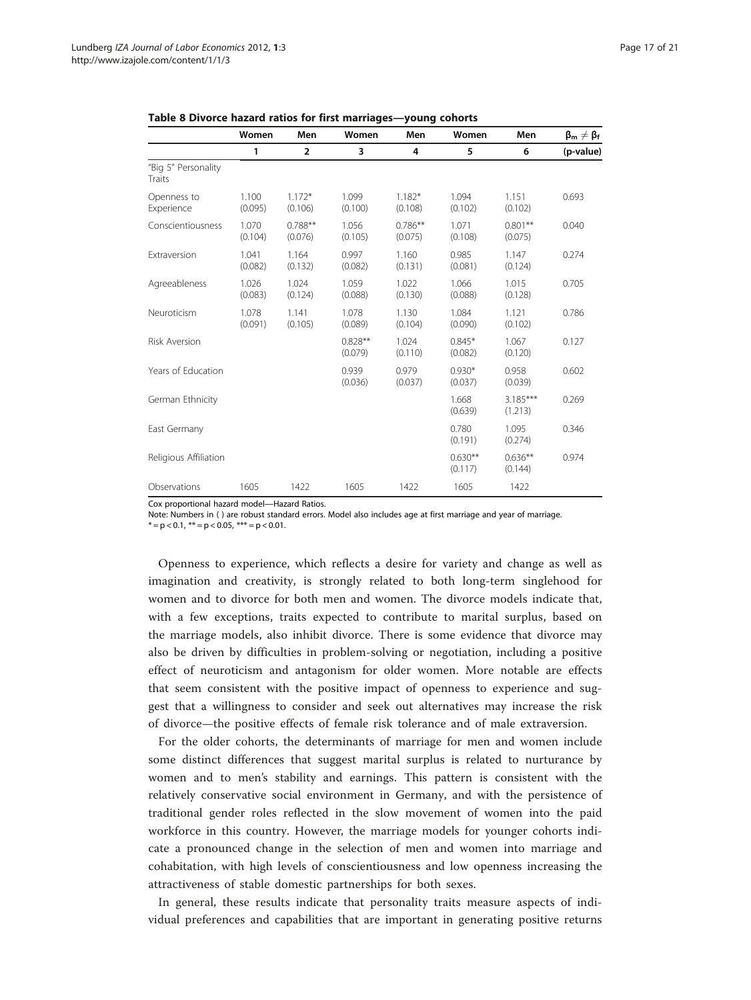|                               | Women                                    | Men                 | Women                | Men                  | Women                | Men                   | $\beta_m \neq \beta_f$ |
|-------------------------------|------------------------------------------|---------------------|----------------------|----------------------|----------------------|-----------------------|------------------------|
|                               | 1                                        | $\overline{2}$      | 3                    | 4                    | 5                    | 6                     | (p-value)              |
| "Big 5" Personality<br>Traits |                                          |                     |                      |                      |                      |                       |                        |
| Openness to<br>Experience     | 1.100<br>(0.095)                         | $1.172*$<br>(0.106) | 1.099<br>(0.100)     | $1.182*$<br>(0.108)  | 1.094<br>(0.102)     | 1.151<br>(0.102)      | 0.693                  |
| Conscientiousness             | 1.070<br>$0.788**$<br>(0.104)<br>(0.076) |                     | 1.056<br>(0.105)     | $0.786**$<br>(0.075) |                      | $0.801**$<br>(0.075)  | 0.040                  |
| Extraversion                  | 1.041<br>(0.082)                         | 1.164<br>(0.132)    | 0.997<br>(0.082)     | 1.160<br>(0.131)     | 0.985<br>(0.081)     | 1.147<br>(0.124)      | 0.274                  |
| Agreeableness                 | 1.026<br>(0.083)                         | 1.024<br>(0.124)    | 1.059<br>(0.088)     | 1.022<br>(0.130)     | 1.066<br>(0.088)     | 1.015<br>(0.128)      | 0.705                  |
| Neuroticism                   | 1.078<br>(0.091)                         | 1.141<br>(0.105)    | 1.078<br>(0.089)     | 1.130<br>(0.104)     | 1.084<br>(0.090)     | 1.121<br>(0.102)      | 0.786                  |
| <b>Risk Aversion</b>          |                                          |                     | $0.828**$<br>(0.079) | 1.024<br>(0.110)     | $0.845*$<br>(0.082)  | 1.067<br>(0.120)      | 0.127                  |
| Years of Education            |                                          |                     | 0.939<br>(0.036)     | 0.979<br>(0.037)     | $0.930*$<br>(0.037)  | 0.958<br>(0.039)      | 0.602                  |
| German Ethnicity              |                                          |                     |                      |                      | 1.668<br>(0.639)     | $3.185***$<br>(1.213) | 0.269                  |
| East Germany                  |                                          |                     |                      |                      | 0.780<br>(0.191)     | 1.095<br>(0.274)      | 0.346                  |
| Religious Affiliation         |                                          |                     |                      |                      | $0.630**$<br>(0.117) | $0.636**$<br>(0.144)  | 0.974                  |
| Observations                  | 1605                                     | 1422                | 1605                 | 1422                 | 1605                 | 1422                  |                        |

<span id="page-16-0"></span>

|  |  |  |  |  |  | Table 8 Divorce hazard ratios for first marriages—young cohorts |  |  |
|--|--|--|--|--|--|-----------------------------------------------------------------|--|--|
|--|--|--|--|--|--|-----------------------------------------------------------------|--|--|

Cox proportional hazard model—Hazard Ratios.

Note: Numbers in ( ) are robust standard errors. Model also includes age at first marriage and year of marriage.

 $* = p < 0.1$ ,  $** = p < 0.05$ ,  $** = p < 0.01$ .

Openness to experience, which reflects a desire for variety and change as well as imagination and creativity, is strongly related to both long-term singlehood for women and to divorce for both men and women. The divorce models indicate that, with a few exceptions, traits expected to contribute to marital surplus, based on the marriage models, also inhibit divorce. There is some evidence that divorce may also be driven by difficulties in problem-solving or negotiation, including a positive effect of neuroticism and antagonism for older women. More notable are effects that seem consistent with the positive impact of openness to experience and suggest that a willingness to consider and seek out alternatives may increase the risk of divorce—the positive effects of female risk tolerance and of male extraversion.

For the older cohorts, the determinants of marriage for men and women include some distinct differences that suggest marital surplus is related to nurturance by women and to men's stability and earnings. This pattern is consistent with the relatively conservative social environment in Germany, and with the persistence of traditional gender roles reflected in the slow movement of women into the paid workforce in this country. However, the marriage models for younger cohorts indicate a pronounced change in the selection of men and women into marriage and cohabitation, with high levels of conscientiousness and low openness increasing the attractiveness of stable domestic partnerships for both sexes.

In general, these results indicate that personality traits measure aspects of individual preferences and capabilities that are important in generating positive returns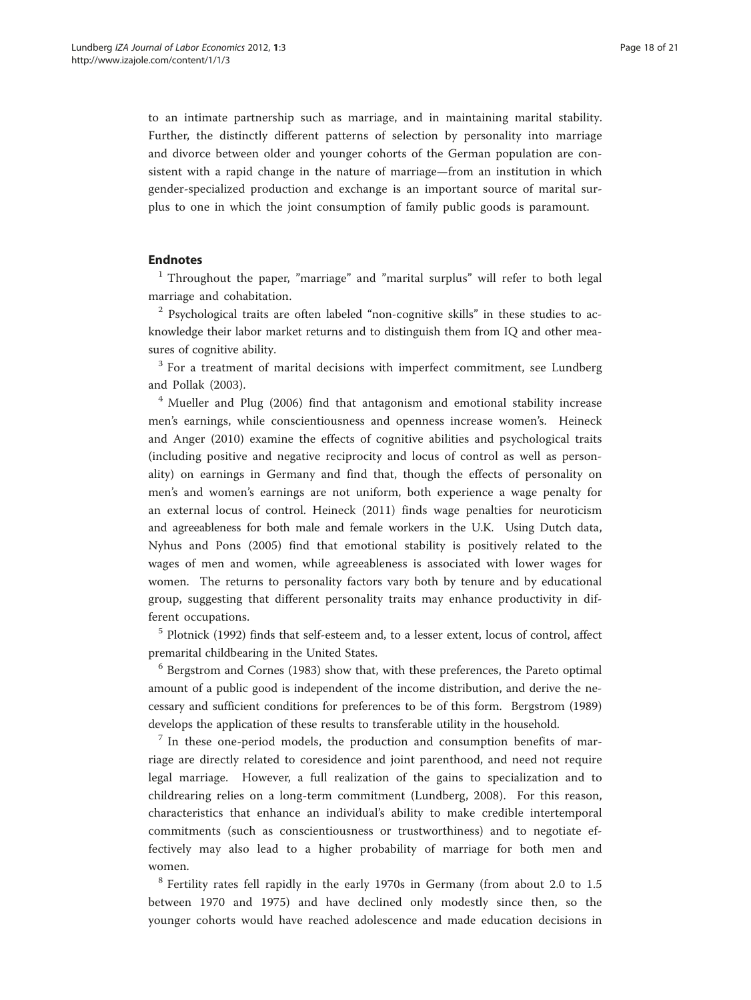to an intimate partnership such as marriage, and in maintaining marital stability. Further, the distinctly different patterns of selection by personality into marriage and divorce between older and younger cohorts of the German population are consistent with a rapid change in the nature of marriage—from an institution in which gender-specialized production and exchange is an important source of marital surplus to one in which the joint consumption of family public goods is paramount.

# Endnotes

<sup>1</sup> Throughout the paper, "marriage" and "marital surplus" will refer to both legal marriage and cohabitation.

<sup>2</sup> Psychological traits are often labeled "non-cognitive skills" in these studies to acknowledge their labor market returns and to distinguish them from IQ and other measures of cognitive ability.

<sup>3</sup> For a treatment of marital decisions with imperfect commitment, see Lundberg and Pollak ([2003\)](#page-19-0).

<sup>4</sup> Mueller and Plug ([2006](#page-19-0)) find that antagonism and emotional stability increase men's earnings, while conscientiousness and openness increase women's. Heineck and Anger ([2010\)](#page-19-0) examine the effects of cognitive abilities and psychological traits (including positive and negative reciprocity and locus of control as well as personality) on earnings in Germany and find that, though the effects of personality on men's and women's earnings are not uniform, both experience a wage penalty for an external locus of control. [Heineck \(2011\)](#page-19-0) finds wage penalties for neuroticism and agreeableness for both male and female workers in the U.K. Using Dutch data, [Nyhus and Pons \(2005](#page-19-0)) find that emotional stability is positively related to the wages of men and women, while agreeableness is associated with lower wages for women. The returns to personality factors vary both by tenure and by educational group, suggesting that different personality traits may enhance productivity in different occupations.

<sup>5</sup> [Plotnick \(1992](#page-19-0)) finds that self-esteem and, to a lesser extent, locus of control, affect premarital childbearing in the United States.

<sup>6</sup> [Bergstrom and Cornes \(1983](#page-19-0)) show that, with these preferences, the Pareto optimal amount of a public good is independent of the income distribution, and derive the necessary and sufficient conditions for preferences to be of this form. Bergstrom ([1989](#page-19-0)) develops the application of these results to transferable utility in the household.

 $<sup>7</sup>$  In these one-period models, the production and consumption benefits of mar-</sup> riage are directly related to coresidence and joint parenthood, and need not require legal marriage. However, a full realization of the gains to specialization and to childrearing relies on a long-term commitment [\(Lundberg, 2008\)](#page-19-0). For this reason, characteristics that enhance an individual's ability to make credible intertemporal commitments (such as conscientiousness or trustworthiness) and to negotiate effectively may also lead to a higher probability of marriage for both men and women.

<sup>8</sup> Fertility rates fell rapidly in the early 1970s in Germany (from about 2.0 to 1.5 between 1970 and 1975) and have declined only modestly since then, so the younger cohorts would have reached adolescence and made education decisions in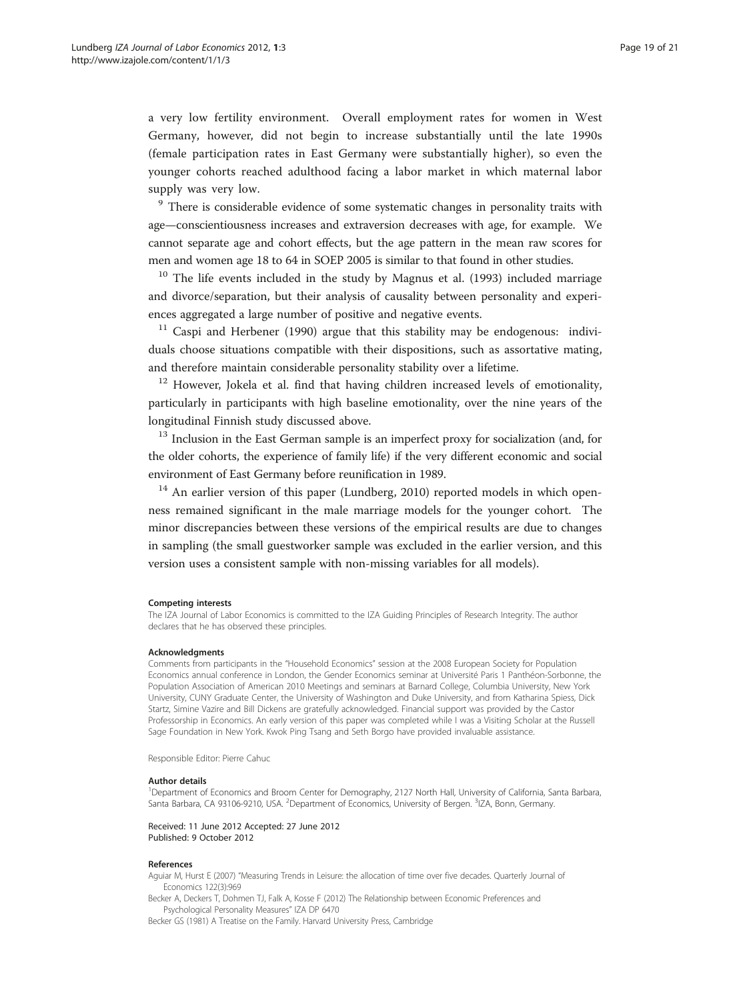<span id="page-18-0"></span>a very low fertility environment. Overall employment rates for women in West Germany, however, did not begin to increase substantially until the late 1990s (female participation rates in East Germany were substantially higher), so even the younger cohorts reached adulthood facing a labor market in which maternal labor supply was very low.

<sup>9</sup> There is considerable evidence of some systematic changes in personality traits with age—conscientiousness increases and extraversion decreases with age, for example. We cannot separate age and cohort effects, but the age pattern in the mean raw scores for men and women age 18 to 64 in SOEP 2005 is similar to that found in other studies.

 $10$  The life events included in the study by [Magnus et al. \(1993](#page-19-0)) included marriage and divorce/separation, but their analysis of causality between personality and experiences aggregated a large number of positive and negative events.

 $11$  [Caspi and Herbener \(1990\)](#page-19-0) argue that this stability may be endogenous: individuals choose situations compatible with their dispositions, such as assortative mating, and therefore maintain considerable personality stability over a lifetime.

 $12$  However, Jokela et al. find that having children increased levels of emotionality, particularly in participants with high baseline emotionality, over the nine years of the longitudinal Finnish study discussed above.

<sup>13</sup> Inclusion in the East German sample is an imperfect proxy for socialization (and, for the older cohorts, the experience of family life) if the very different economic and social environment of East Germany before reunification in 1989.

 $14$  An earlier version of this paper (Lundberg, 2010) reported models in which openness remained significant in the male marriage models for the younger cohort. The minor discrepancies between these versions of the empirical results are due to changes in sampling (the small guestworker sample was excluded in the earlier version, and this version uses a consistent sample with non-missing variables for all models).

#### Competing interests

The IZA Journal of Labor Economics is committed to the IZA Guiding Principles of Research Integrity. The author declares that he has observed these principles.

#### Acknowledgments

Comments from participants in the "Household Economics" session at the 2008 European Society for Population Economics annual conference in London, the Gender Economics seminar at Université Paris 1 Panthéon-Sorbonne, the Population Association of American 2010 Meetings and seminars at Barnard College, Columbia University, New York University, CUNY Graduate Center, the University of Washington and Duke University, and from Katharina Spiess, Dick Startz, Simine Vazire and Bill Dickens are gratefully acknowledged. Financial support was provided by the Castor Professorship in Economics. An early version of this paper was completed while I was a Visiting Scholar at the Russell Sage Foundation in New York. Kwok Ping Tsang and Seth Borgo have provided invaluable assistance.

Responsible Editor: Pierre Cahuc

#### Author details

<sup>1</sup>Department of Economics and Broom Center for Demography, 2127 North Hall, University of California, Santa Barbara, Santa Barbara, CA 93106-9210, USA. <sup>2</sup>Department of Economics, University of Bergen. <sup>3</sup>IZA, Bonn, Germany.

#### Received: 11 June 2012 Accepted: 27 June 2012 Published: 9 October 2012

#### References

Aguiar M, Hurst E (2007) "Measuring Trends in Leisure: the allocation of time over five decades. Quarterly Journal of Economics 122(3):969

Becker A, Deckers T, Dohmen TJ, Falk A, Kosse F (2012) The Relationship between Economic Preferences and Psychological Personality Measures" IZA DP 6470

Becker GS (1981) A Treatise on the Family. Harvard University Press, Cambridge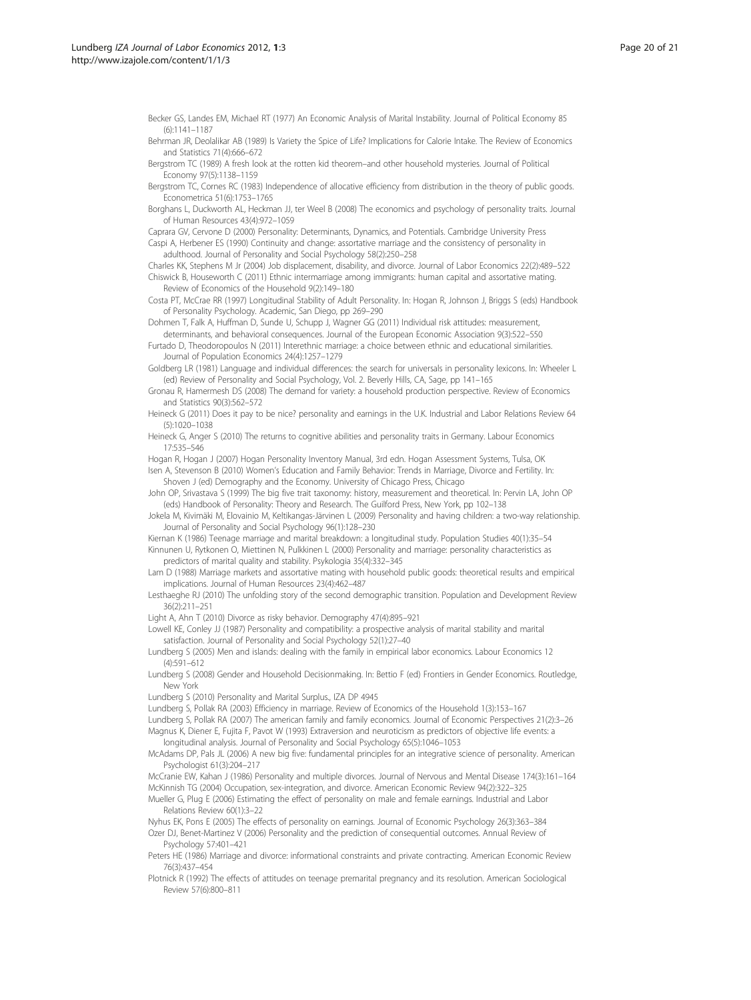<span id="page-19-0"></span>Becker GS, Landes EM, Michael RT (1977) An Economic Analysis of Marital Instability. Journal of Political Economy 85 (6):1141–1187

Behrman JR, Deolalikar AB (1989) Is Variety the Spice of Life? Implications for Calorie Intake. The Review of Economics and Statistics 71(4):666–672

Bergstrom TC (1989) A fresh look at the rotten kid theorem–and other household mysteries. Journal of Political Economy 97(5):1138–1159

- Bergstrom TC, Cornes RC (1983) Independence of allocative efficiency from distribution in the theory of public goods. Econometrica 51(6):1753–1765
- Borghans L, Duckworth AL, Heckman JJ, ter Weel B (2008) The economics and psychology of personality traits. Journal of Human Resources 43(4):972–1059

Caprara GV, Cervone D (2000) Personality: Determinants, Dynamics, and Potentials. Cambridge University Press Caspi A, Herbener ES (1990) Continuity and change: assortative marriage and the consistency of personality in adulthood. Journal of Personality and Social Psychology 58(2):250–258

Charles KK, Stephens M Jr (2004) Job displacement, disability, and divorce. Journal of Labor Economics 22(2):489–522 Chiswick B, Houseworth C (2011) Ethnic intermarriage among immigrants: human capital and assortative mating.

Review of Economics of the Household 9(2):149–180 Costa PT, McCrae RR (1997) Longitudinal Stability of Adult Personality. In: Hogan R, Johnson J, Briggs S (eds) Handbook of Personality Psychology. Academic, San Diego, pp 269–290

Dohmen T, Falk A, Huffman D, Sunde U, Schupp J, Wagner GG (2011) Individual risk attitudes: measurement, determinants, and behavioral consequences. Journal of the European Economic Association 9(3):522–550

Furtado D, Theodoropoulos N (2011) Interethnic marriage: a choice between ethnic and educational similarities. Journal of Population Economics 24(4):1257–1279

Goldberg LR (1981) Language and individual differences: the search for universals in personality lexicons. In: Wheeler L (ed) Review of Personality and Social Psychology, Vol. 2. Beverly Hills, CA, Sage, pp 141–165

Gronau R, Hamermesh DS (2008) The demand for variety: a household production perspective. Review of Economics and Statistics 90(3):562–572

Heineck G (2011) Does it pay to be nice? personality and earnings in the U.K. Industrial and Labor Relations Review 64 (5):1020–1038

Heineck G, Anger S (2010) The returns to cognitive abilities and personality traits in Germany. Labour Economics 17:535–546

Hogan R, Hogan J (2007) Hogan Personality Inventory Manual, 3rd edn. Hogan Assessment Systems, Tulsa, OK

Isen A, Stevenson B (2010) Women's Education and Family Behavior: Trends in Marriage, Divorce and Fertility. In: Shoven J (ed) Demography and the Economy. University of Chicago Press, Chicago

John OP, Srivastava S (1999) The big five trait taxonomy: history, measurement and theoretical. In: Pervin LA, John OP (eds) Handbook of Personality: Theory and Research. The Guilford Press, New York, pp 102–138

Jokela M, Kivimäki M, Elovainio M, Keltikangas-Järvinen L (2009) Personality and having children: a two-way relationship. Journal of Personality and Social Psychology 96(1):128–230

Kiernan K (1986) Teenage marriage and marital breakdown: a longitudinal study. Population Studies 40(1):35–54 Kinnunen U, Rytkonen O, Miettinen N, Pulkkinen L (2000) Personality and marriage: personality characteristics as predictors of marital quality and stability. Psykologia 35(4):332–345

Lam D (1988) Marriage markets and assortative mating with household public goods: theoretical results and empirical implications. Journal of Human Resources 23(4):462–487

Lesthaeghe RJ (2010) The unfolding story of the second demographic transition. Population and Development Review 36(2):211–251

Light A, Ahn T (2010) Divorce as risky behavior. Demography 47(4):895–921

Lowell KE, Conley JJ (1987) Personality and compatibility: a prospective analysis of marital stability and marital satisfaction. Journal of Personality and Social Psychology 52(1):27–40

Lundberg S (2005) Men and islands: dealing with the family in empirical labor economics. Labour Economics 12 (4):591–612

Lundberg S (2008) Gender and Household Decisionmaking. In: Bettio F (ed) Frontiers in Gender Economics. Routledge, New York

Lundberg S (2010) Personality and Marital Surplus., IZA DP 4945

Lundberg S, Pollak RA (2003) Efficiency in marriage. Review of Economics of the Household 1(3):153–167

Lundberg S, Pollak RA (2007) The american family and family economics. Journal of Economic Perspectives 21(2):3–26 Magnus K, Diener E, Fujita F, Pavot W (1993) Extraversion and neuroticism as predictors of objective life events: a

longitudinal analysis. Journal of Personality and Social Psychology 65(5):1046–1053

McAdams DP, Pals JL (2006) A new big five: fundamental principles for an integrative science of personality. American Psychologist 61(3):204–217

McCranie EW, Kahan J (1986) Personality and multiple divorces. Journal of Nervous and Mental Disease 174(3):161–164 McKinnish TG (2004) Occupation, sex-integration, and divorce. American Economic Review 94(2):322–325

Mueller G, Plug E (2006) Estimating the effect of personality on male and female earnings. Industrial and Labor Relations Review 60(1):3–22

Nyhus EK, Pons E (2005) The effects of personality on earnings. Journal of Economic Psychology 26(3):363–384 Ozer DJ, Benet-Martinez V (2006) Personality and the prediction of consequential outcomes. Annual Review of Psychology 57:401–421

Peters HE (1986) Marriage and divorce: informational constraints and private contracting. American Economic Review 76(3):437–454

Plotnick R (1992) The effects of attitudes on teenage premarital pregnancy and its resolution. American Sociological Review 57(6):800–811